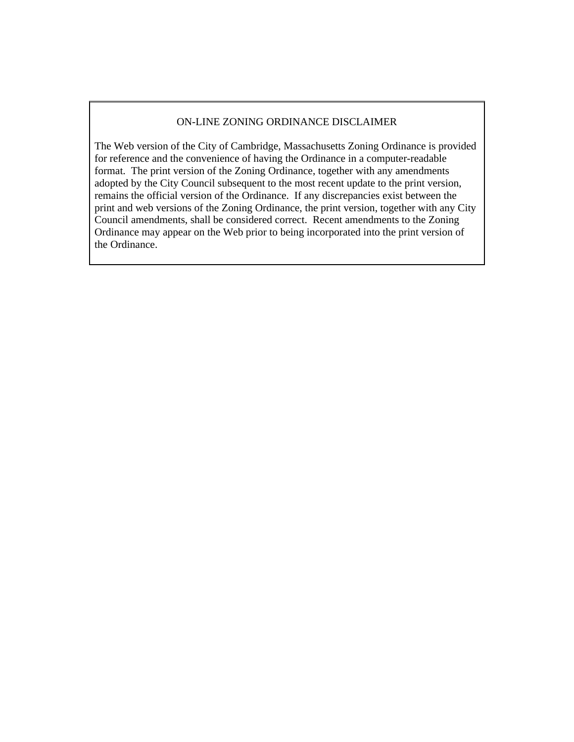## ON-LINE ZONING ORDINANCE DISCLAIMER

The Web version of the City of Cambridge, Massachusetts Zoning Ordinance is provided for reference and the convenience of having the Ordinance in a computer-readable format. The print version of the Zoning Ordinance, together with any amendments adopted by the City Council subsequent to the most recent update to the print version, remains the official version of the Ordinance. If any discrepancies exist between the print and web versions of the Zoning Ordinance, the print version, together with any City Council amendments, shall be considered correct. Recent amendments to the Zoning Ordinance may appear on the Web prior to being incorporated into the print version of the Ordinance.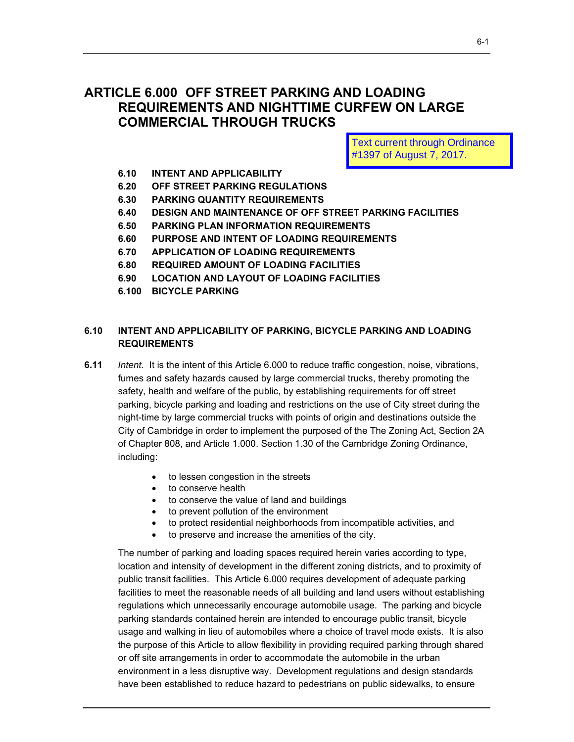# **ARTICLE 6.000 OFF STREET PARKING AND LOADING REQUIREMENTS AND NIGHTTIME CURFEW ON LARGE COMMERCIAL THROUGH TRUCKS**

Text current through Ordinance #1397 of August 7, 2017.

- **6.10 INTENT AND APPLICABILITY**
- **6.20 OFF STREET PARKING REGULATIONS**
- **6.30 PARKING QUANTITY REQUIREMENTS**
- **6.40 DESIGN AND MAINTENANCE OF OFF STREET PARKING FACILITIES**
- **6.50 PARKING PLAN INFORMATION REQUIREMENTS**
- **6.60 PURPOSE AND INTENT OF LOADING REQUIREMENTS**
- **6.70 APPLICATION OF LOADING REQUIREMENTS**
- **6.80 REQUIRED AMOUNT OF LOADING FACILITIES**
- **6.90 LOCATION AND LAYOUT OF LOADING FACILITIES**
- **6.100 BICYCLE PARKING**

## **6.10 INTENT AND APPLICABILITY OF PARKING, BICYCLE PARKING AND LOADING REQUIREMENTS**

- night-time by large commercial trucks with points of origin and destinations outside the **6.11** *Intent.* It is the intent of this Article 6.000 to reduce traffic congestion, noise, vibrations, fumes and safety hazards caused by large commercial trucks, thereby promoting the safety, health and welfare of the public, by establishing requirements for off street parking, bicycle parking and loading and restrictions on the use of City street during the City of Cambridge in order to implement the purposed of the The Zoning Act, Section 2A of Chapter 808, and Article 1.000. Section 1.30 of the Cambridge Zoning Ordinance, including:
	- to lessen congestion in the streets
	- to conserve health
	- to conserve the value of land and buildings
	- to prevent pollution of the environment
	- to protect residential neighborhoods from incompatible activities, and
	- to preserve and increase the amenities of the city.

The number of parking and loading spaces required herein varies according to type, location and intensity of development in the different zoning districts, and to proximity of public transit facilities. This Article 6.000 requires development of adequate parking facilities to meet the reasonable needs of all building and land users without establishing regulations which unnecessarily encourage automobile usage. The parking and bicycle parking standards contained herein are intended to encourage public transit, bicycle usage and walking in lieu of automobiles where a choice of travel mode exists. It is also the purpose of this Article to allow flexibility in providing required parking through shared or off site arrangements in order to accommodate the automobile in the urban environment in a less disruptive way. Development regulations and design standards have been established to reduce hazard to pedestrians on public sidewalks, to ensure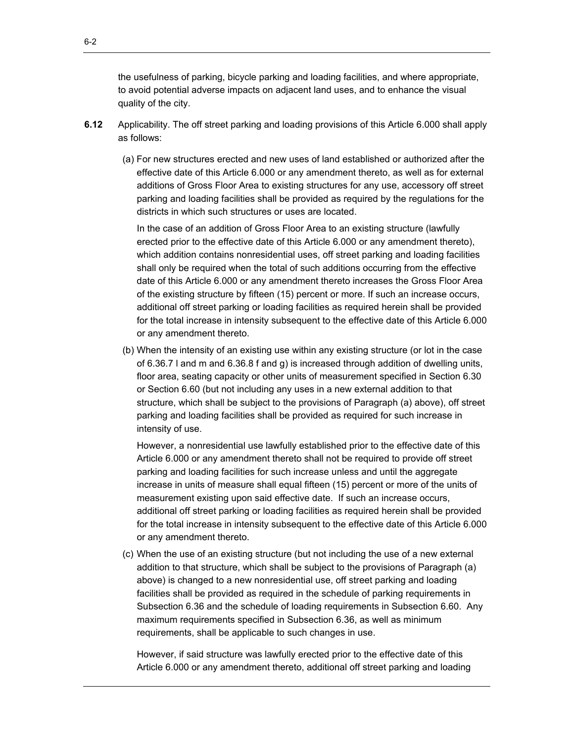the usefulness of parking, bicycle parking and loading facilities, and where appropriate, to avoid potential adverse impacts on adjacent land uses, and to enhance the visual quality of the city.

- **6.12** Applicability. The off street parking and loading provisions of this Article 6.000 shall apply as follows:
	- (a) For new structures erected and new uses of land established or authorized after the effective date of this Article 6.000 or any amendment thereto, as well as for external additions of Gross Floor Area to existing structures for any use, accessory off street parking and loading facilities shall be provided as required by the regulations for the districts in which such structures or uses are located.

In the case of an addition of Gross Floor Area to an existing structure (lawfully erected prior to the effective date of this Article 6.000 or any amendment thereto), which addition contains nonresidential uses, off street parking and loading facilities shall only be required when the total of such additions occurring from the effective date of this Article 6.000 or any amendment thereto increases the Gross Floor Area of the existing structure by fifteen (15) percent or more. If such an increase occurs, additional off street parking or loading facilities as required herein shall be provided for the total increase in intensity subsequent to the effective date of this Article 6.000 or any amendment thereto.

(b) When the intensity of an existing use within any existing structure (or lot in the case of 6.36.7 l and m and 6.36.8 f and g) is increased through addition of dwelling units, floor area, seating capacity or other units of measurement specified in Section 6.30 or Section 6.60 (but not including any uses in a new external addition to that structure, which shall be subject to the provisions of Paragraph (a) above), off street parking and loading facilities shall be provided as required for such increase in intensity of use.

However, a nonresidential use lawfully established prior to the effective date of this Article 6.000 or any amendment thereto shall not be required to provide off street parking and loading facilities for such increase unless and until the aggregate increase in units of measure shall equal fifteen (15) percent or more of the units of measurement existing upon said effective date. If such an increase occurs, additional off street parking or loading facilities as required herein shall be provided for the total increase in intensity subsequent to the effective date of this Article 6.000 or any amendment thereto.

(c) When the use of an existing structure (but not including the use of a new external addition to that structure, which shall be subject to the provisions of Paragraph (a) above) is changed to a new nonresidential use, off street parking and loading facilities shall be provided as required in the schedule of parking requirements in Subsection 6.36 and the schedule of loading requirements in Subsection 6.60. Any maximum requirements specified in Subsection 6.36, as well as minimum requirements, shall be applicable to such changes in use.

However, if said structure was lawfully erected prior to the effective date of this Article 6.000 or any amendment thereto, additional off street parking and loading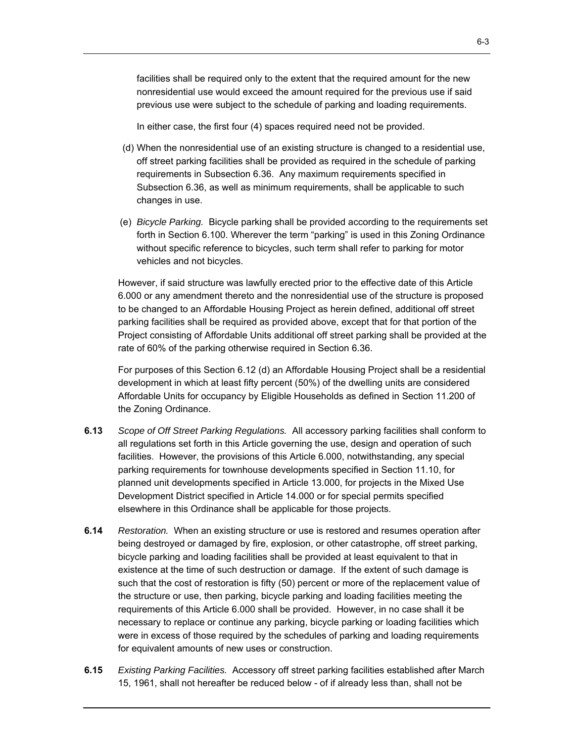facilities shall be required only to the extent that the required amount for the new nonresidential use would exceed the amount required for the previous use if said previous use were subject to the schedule of parking and loading requirements.

In either case, the first four (4) spaces required need not be provided.

- (d) When the nonresidential use of an existing structure is changed to a residential use, off street parking facilities shall be provided as required in the schedule of parking requirements in Subsection 6.36. Any maximum requirements specified in Subsection 6.36, as well as minimum requirements, shall be applicable to such changes in use.
- (e) *Bicycle Parking.* Bicycle parking shall be provided according to the requirements set forth in Section 6.100. Wherever the term "parking" is used in this Zoning Ordinance without specific reference to bicycles, such term shall refer to parking for motor vehicles and not bicycles.

However, if said structure was lawfully erected prior to the effective date of this Article 6.000 or any amendment thereto and the nonresidential use of the structure is proposed to be changed to an Affordable Housing Project as herein defined, additional off street parking facilities shall be required as provided above, except that for that portion of the Project consisting of Affordable Units additional off street parking shall be provided at the rate of 60% of the parking otherwise required in Section 6.36.

For purposes of this Section 6.12 (d) an Affordable Housing Project shall be a residential development in which at least fifty percent (50%) of the dwelling units are considered Affordable Units for occupancy by Eligible Households as defined in Section 11.200 of the Zoning Ordinance.

- **6.13** *Scope of Off Street Parking Regulations.* All accessory parking facilities shall conform to all regulations set forth in this Article governing the use, design and operation of such facilities. However, the provisions of this Article 6.000, notwithstanding, any special parking requirements for townhouse developments specified in Section 11.10, for planned unit developments specified in Article 13.000, for projects in the Mixed Use Development District specified in Article 14.000 or for special permits specified elsewhere in this Ordinance shall be applicable for those projects.
- **6.14** *Restoration.* When an existing structure or use is restored and resumes operation after being destroyed or damaged by fire, explosion, or other catastrophe, off street parking, bicycle parking and loading facilities shall be provided at least equivalent to that in existence at the time of such destruction or damage. If the extent of such damage is such that the cost of restoration is fifty (50) percent or more of the replacement value of the structure or use, then parking, bicycle parking and loading facilities meeting the requirements of this Article 6.000 shall be provided. However, in no case shall it be necessary to replace or continue any parking, bicycle parking or loading facilities which were in excess of those required by the schedules of parking and loading requirements for equivalent amounts of new uses or construction.
- **6.15** *Existing Parking Facilities.* Accessory off street parking facilities established after March 15, 1961, shall not hereafter be reduced below - of if already less than, shall not be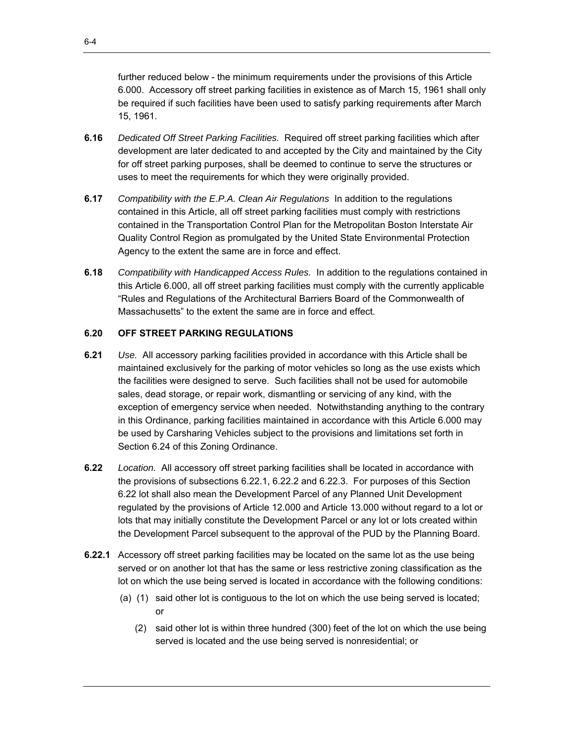further reduced below - the minimum requirements under the provisions of this Article 6.000. Accessory off street parking facilities in existence as of March 15, 1961 shall only be required if such facilities have been used to satisfy parking requirements after March 15, 1961.

- **6.16** *Dedicated Off Street Parking Facilities.* Required off street parking facilities which after development are later dedicated to and accepted by the City and maintained by the City for off street parking purposes, shall be deemed to continue to serve the structures or uses to meet the requirements for which they were originally provided.
- **6.17** *Compatibility with the E.P.A. Clean Air Regulations* In addition to the regulations contained in this Article, all off street parking facilities must comply with restrictions contained in the Transportation Control Plan for the Metropolitan Boston Interstate Air Quality Control Region as promulgated by the United State Environmental Protection Agency to the extent the same are in force and effect.
- **6.18** *Compatibility with Handicapped Access Rules.* In addition to the regulations contained in this Article 6.000, all off street parking facilities must comply with the currently applicable "Rules and Regulations of the Architectural Barriers Board of the Commonwealth of Massachusetts" to the extent the same are in force and effect.

## **6.20 OFF STREET PARKING REGULATIONS**

- **6.21** *Use.* All accessory parking facilities provided in accordance with this Article shall be maintained exclusively for the parking of motor vehicles so long as the use exists which the facilities were designed to serve. Such facilities shall not be used for automobile sales, dead storage, or repair work, dismantling or servicing of any kind, with the exception of emergency service when needed. Notwithstanding anything to the contrary in this Ordinance, parking facilities maintained in accordance with this Article 6.000 may be used by Carsharing Vehicles subject to the provisions and limitations set forth in Section 6.24 of this Zoning Ordinance.
- **6.22** *Location.* All accessory off street parking facilities shall be located in accordance with the provisions of subsections 6.22.1, 6.22.2 and 6.22.3. For purposes of this Section 6.22 lot shall also mean the Development Parcel of any Planned Unit Development regulated by the provisions of Article 12.000 and Article 13.000 without regard to a lot or lots that may initially constitute the Development Parcel or any lot or lots created within the Development Parcel subsequent to the approval of the PUD by the Planning Board.
- **6.22.1** Accessory off street parking facilities may be located on the same lot as the use being served or on another lot that has the same or less restrictive zoning classification as the lot on which the use being served is located in accordance with the following conditions:
	- (a) (1) said other lot is contiguous to the lot on which the use being served is located; or
		- (2) said other lot is within three hundred (300) feet of the lot on which the use being served is located and the use being served is nonresidential; or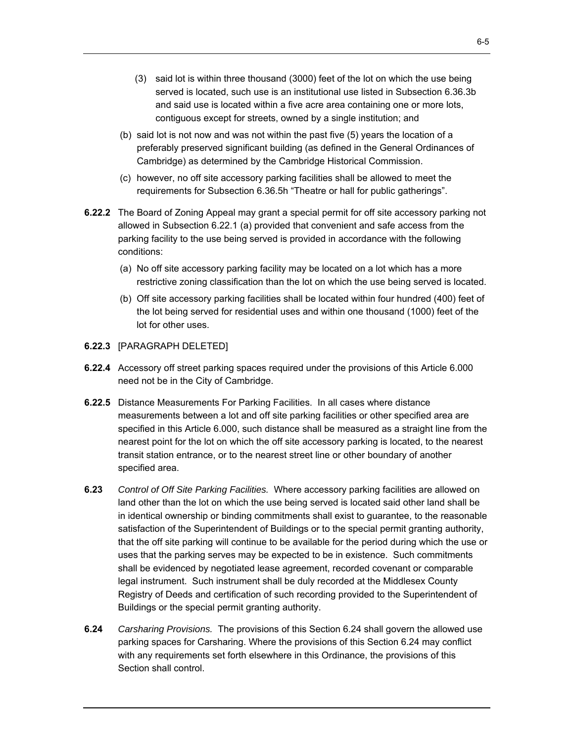- (3) said lot is within three thousand (3000) feet of the lot on which the use being served is located, such use is an institutional use listed in Subsection 6.36.3b and said use is located within a five acre area containing one or more lots, contiguous except for streets, owned by a single institution; and
- (b) said lot is not now and was not within the past five (5) years the location of a preferably preserved significant building (as defined in the General Ordinances of Cambridge) as determined by the Cambridge Historical Commission.
- (c) however, no off site accessory parking facilities shall be allowed to meet the requirements for Subsection 6.36.5h "Theatre or hall for public gatherings".
- **6.22.2** The Board of Zoning Appeal may grant a special permit for off site accessory parking not allowed in Subsection 6.22.1 (a) provided that convenient and safe access from the parking facility to the use being served is provided in accordance with the following conditions:
	- (a) No off site accessory parking facility may be located on a lot which has a more restrictive zoning classification than the lot on which the use being served is located.
	- (b) Off site accessory parking facilities shall be located within four hundred (400) feet of the lot being served for residential uses and within one thousand (1000) feet of the lot for other uses.
- **6.22.3** [PARAGRAPH DELETED]
- **6.22.4** Accessory off street parking spaces required under the provisions of this Article 6.000 need not be in the City of Cambridge.
- **6.22.5** Distance Measurements For Parking Facilities. In all cases where distance measurements between a lot and off site parking facilities or other specified area are specified in this Article 6.000, such distance shall be measured as a straight line from the nearest point for the lot on which the off site accessory parking is located, to the nearest transit station entrance, or to the nearest street line or other boundary of another specified area.
- **6.23** *Control of Off Site Parking Facilities.* Where accessory parking facilities are allowed on land other than the lot on which the use being served is located said other land shall be in identical ownership or binding commitments shall exist to guarantee, to the reasonable satisfaction of the Superintendent of Buildings or to the special permit granting authority, that the off site parking will continue to be available for the period during which the use or uses that the parking serves may be expected to be in existence. Such commitments shall be evidenced by negotiated lease agreement, recorded covenant or comparable legal instrument. Such instrument shall be duly recorded at the Middlesex County Registry of Deeds and certification of such recording provided to the Superintendent of Buildings or the special permit granting authority.
- **6.24** *Carsharing Provisions.* The provisions of this Section 6.24 shall govern the allowed use parking spaces for Carsharing. Where the provisions of this Section 6.24 may conflict with any requirements set forth elsewhere in this Ordinance, the provisions of this Section shall control.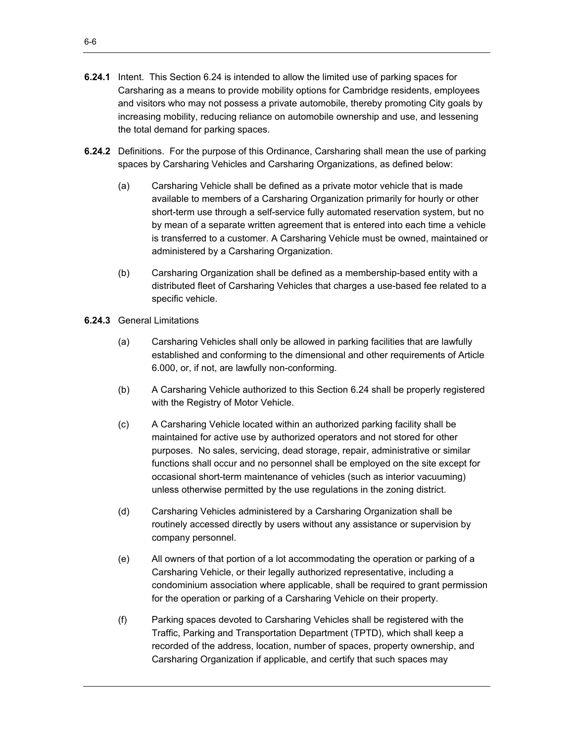- **6.24.1** Intent. This Section 6.24 is intended to allow the limited use of parking spaces for Carsharing as a means to provide mobility options for Cambridge residents, employees and visitors who may not possess a private automobile, thereby promoting City goals by increasing mobility, reducing reliance on automobile ownership and use, and lessening the total demand for parking spaces.
- **6.24.2** Definitions. For the purpose of this Ordinance, Carsharing shall mean the use of parking spaces by Carsharing Vehicles and Carsharing Organizations, as defined below:
	- (a) Carsharing Vehicle shall be defined as a private motor vehicle that is made available to members of a Carsharing Organization primarily for hourly or other short-term use through a self-service fully automated reservation system, but no by mean of a separate written agreement that is entered into each time a vehicle is transferred to a customer. A Carsharing Vehicle must be owned, maintained or administered by a Carsharing Organization.
	- (b) Carsharing Organization shall be defined as a membership-based entity with a distributed fleet of Carsharing Vehicles that charges a use-based fee related to a specific vehicle.
- **6.24.3** General Limitations
	- (a) Carsharing Vehicles shall only be allowed in parking facilities that are lawfully established and conforming to the dimensional and other requirements of Article 6.000, or, if not, are lawfully non-conforming.
	- (b) A Carsharing Vehicle authorized to this Section 6.24 shall be properly registered with the Registry of Motor Vehicle.
	- (c) A Carsharing Vehicle located within an authorized parking facility shall be maintained for active use by authorized operators and not stored for other purposes. No sales, servicing, dead storage, repair, administrative or similar functions shall occur and no personnel shall be employed on the site except for occasional short-term maintenance of vehicles (such as interior vacuuming) unless otherwise permitted by the use regulations in the zoning district.
	- (d) Carsharing Vehicles administered by a Carsharing Organization shall be routinely accessed directly by users without any assistance or supervision by company personnel.
	- (e) All owners of that portion of a lot accommodating the operation or parking of a Carsharing Vehicle, or their legally authorized representative, including a condominium association where applicable, shall be required to grant permission for the operation or parking of a Carsharing Vehicle on their property.
	- (f) Parking spaces devoted to Carsharing Vehicles shall be registered with the Traffic, Parking and Transportation Department (TPTD), which shall keep a recorded of the address, location, number of spaces, property ownership, and Carsharing Organization if applicable, and certify that such spaces may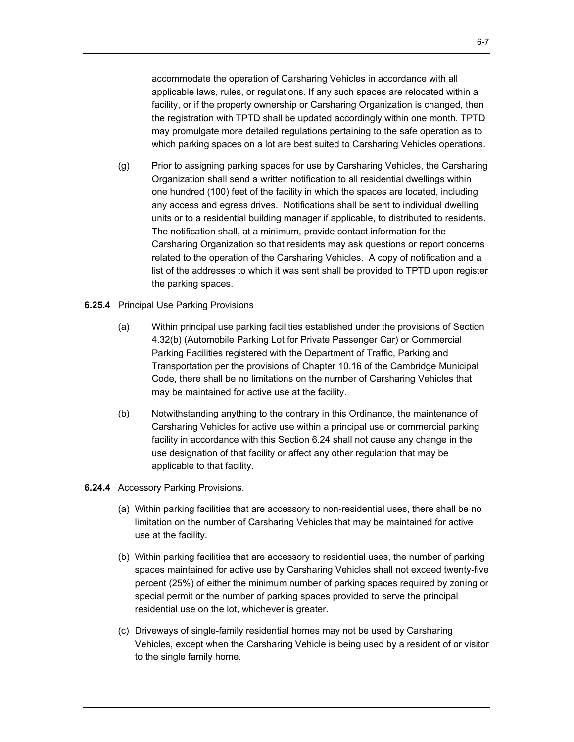accommodate the operation of Carsharing Vehicles in accordance with all applicable laws, rules, or regulations. If any such spaces are relocated within a facility, or if the property ownership or Carsharing Organization is changed, then the registration with TPTD shall be updated accordingly within one month. TPTD may promulgate more detailed regulations pertaining to the safe operation as to which parking spaces on a lot are best suited to Carsharing Vehicles operations.

- (g) Prior to assigning parking spaces for use by Carsharing Vehicles, the Carsharing Organization shall send a written notification to all residential dwellings within one hundred (100) feet of the facility in which the spaces are located, including any access and egress drives. Notifications shall be sent to individual dwelling units or to a residential building manager if applicable, to distributed to residents. The notification shall, at a minimum, provide contact information for the Carsharing Organization so that residents may ask questions or report concerns related to the operation of the Carsharing Vehicles. A copy of notification and a list of the addresses to which it was sent shall be provided to TPTD upon register the parking spaces.
- **6.25.4** Principal Use Parking Provisions
	- (a) Within principal use parking facilities established under the provisions of Section 4.32(b) (Automobile Parking Lot for Private Passenger Car) or Commercial Parking Facilities registered with the Department of Traffic, Parking and Transportation per the provisions of Chapter 10.16 of the Cambridge Municipal Code, there shall be no limitations on the number of Carsharing Vehicles that may be maintained for active use at the facility.
	- (b) Notwithstanding anything to the contrary in this Ordinance, the maintenance of Carsharing Vehicles for active use within a principal use or commercial parking facility in accordance with this Section 6.24 shall not cause any change in the use designation of that facility or affect any other regulation that may be applicable to that facility.
- **6.24.4** Accessory Parking Provisions.
	- (a) Within parking facilities that are accessory to non-residential uses, there shall be no limitation on the number of Carsharing Vehicles that may be maintained for active use at the facility.
	- (b) Within parking facilities that are accessory to residential uses, the number of parking spaces maintained for active use by Carsharing Vehicles shall not exceed twenty-five percent (25%) of either the minimum number of parking spaces required by zoning or special permit or the number of parking spaces provided to serve the principal residential use on the lot, whichever is greater.
	- (c) Driveways of single-family residential homes may not be used by Carsharing Vehicles, except when the Carsharing Vehicle is being used by a resident of or visitor to the single family home.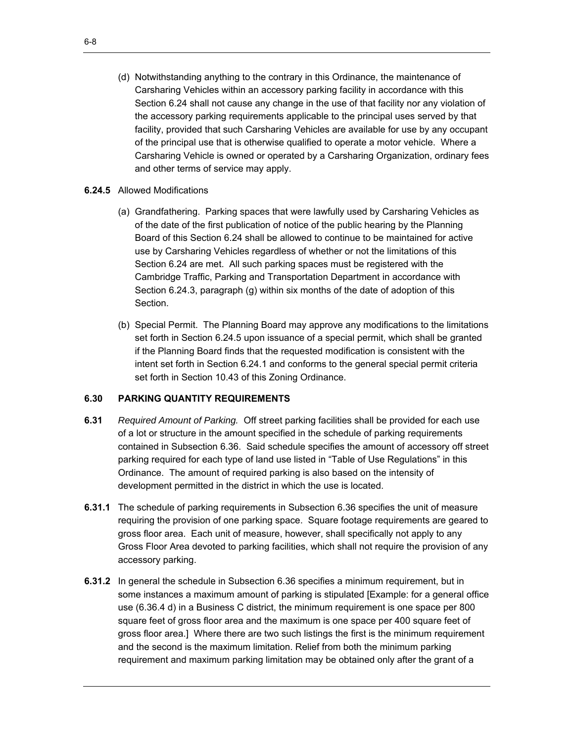(d) Notwithstanding anything to the contrary in this Ordinance, the maintenance of Carsharing Vehicles within an accessory parking facility in accordance with this Section 6.24 shall not cause any change in the use of that facility nor any violation of the accessory parking requirements applicable to the principal uses served by that facility, provided that such Carsharing Vehicles are available for use by any occupant of the principal use that is otherwise qualified to operate a motor vehicle. Where a Carsharing Vehicle is owned or operated by a Carsharing Organization, ordinary fees and other terms of service may apply.

## **6.24.5** Allowed Modifications

- (a) Grandfathering. Parking spaces that were lawfully used by Carsharing Vehicles as of the date of the first publication of notice of the public hearing by the Planning Board of this Section 6.24 shall be allowed to continue to be maintained for active use by Carsharing Vehicles regardless of whether or not the limitations of this Section 6.24 are met. All such parking spaces must be registered with the Cambridge Traffic, Parking and Transportation Department in accordance with Section 6.24.3, paragraph (g) within six months of the date of adoption of this Section.
- (b) Special Permit. The Planning Board may approve any modifications to the limitations set forth in Section 6.24.5 upon issuance of a special permit, which shall be granted if the Planning Board finds that the requested modification is consistent with the intent set forth in Section 6.24.1 and conforms to the general special permit criteria set forth in Section 10.43 of this Zoning Ordinance.

# **6.30 PARKING QUANTITY REQUIREMENTS**

- **6.31** *Required Amount of Parking.* Off street parking facilities shall be provided for each use of a lot or structure in the amount specified in the schedule of parking requirements contained in Subsection 6.36. Said schedule specifies the amount of accessory off street parking required for each type of land use listed in "Table of Use Regulations" in this Ordinance. The amount of required parking is also based on the intensity of development permitted in the district in which the use is located.
- **6.31.1** The schedule of parking requirements in Subsection 6.36 specifies the unit of measure requiring the provision of one parking space. Square footage requirements are geared to gross floor area. Each unit of measure, however, shall specifically not apply to any Gross Floor Area devoted to parking facilities, which shall not require the provision of any accessory parking.
- **6.31.2** In general the schedule in Subsection 6.36 specifies a minimum requirement, but in some instances a maximum amount of parking is stipulated [Example: for a general office use (6.36.4 d) in a Business C district, the minimum requirement is one space per 800 square feet of gross floor area and the maximum is one space per 400 square feet of gross floor area.] Where there are two such listings the first is the minimum requirement and the second is the maximum limitation. Relief from both the minimum parking requirement and maximum parking limitation may be obtained only after the grant of a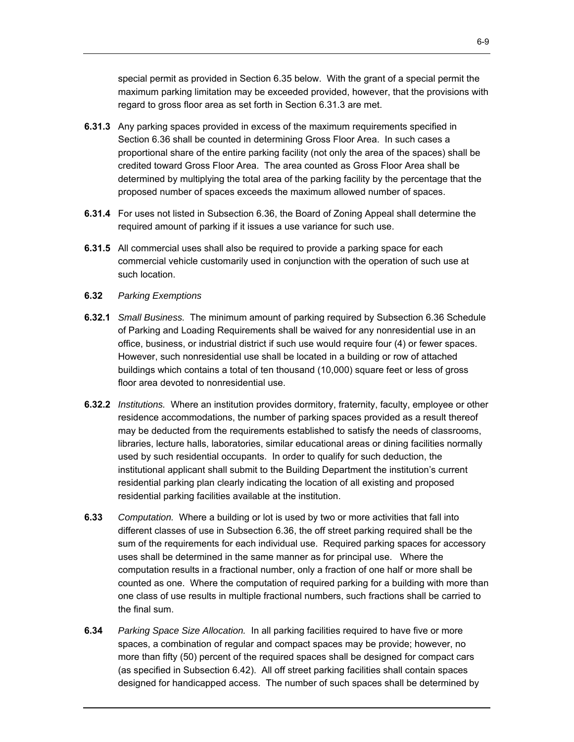special permit as provided in Section 6.35 below. With the grant of a special permit the maximum parking limitation may be exceeded provided, however, that the provisions with regard to gross floor area as set forth in Section 6.31.3 are met.

- Section 6.36 shall be counted in determining Gross Floor Area. In such cases a **6.31.3** Any parking spaces provided in excess of the maximum requirements specified in proportional share of the entire parking facility (not only the area of the spaces) shall be credited toward Gross Floor Area. The area counted as Gross Floor Area shall be determined by multiplying the total area of the parking facility by the percentage that the proposed number of spaces exceeds the maximum allowed number of spaces.
- **6.31.4** For uses not listed in Subsection 6.36, the Board of Zoning Appeal shall determine the required amount of parking if it issues a use variance for such use.
- **6.31.5** All commercial uses shall also be required to provide a parking space for each commercial vehicle customarily used in conjunction with the operation of such use at such location.
- **6.32** *Parking Exemptions*
- **6.32.1** Small Business. The minimum amount of parking required by Subsection 6.36 Schedule buildings which contains a total of ten thousand (10,000) square feet or less of gross of Parking and Loading Requirements shall be waived for any nonresidential use in an office, business, or industrial district if such use would require four (4) or fewer spaces. However, such nonresidential use shall be located in a building or row of attached floor area devoted to nonresidential use.
- **6.32.2** *Institutions.* Where an institution provides dormitory, fraternity, faculty, employee or other residence accommodations, the number of parking spaces provided as a result thereof may be deducted from the requirements established to satisfy the needs of classrooms, libraries, lecture halls, laboratories, similar educational areas or dining facilities normally used by such residential occupants. In order to qualify for such deduction, the institutional applicant shall submit to the Building Department the institution's current residential parking plan clearly indicating the location of all existing and proposed residential parking facilities available at the institution.
- **6.33** *Computation.* Where a building or lot is used by two or more activities that fall into different classes of use in Subsection 6.36, the off street parking required shall be the sum of the requirements for each individual use. Required parking spaces for accessory uses shall be determined in the same manner as for principal use. Where the computation results in a fractional number, only a fraction of one half or more shall be counted as one. Where the computation of required parking for a building with more than one class of use results in multiple fractional numbers, such fractions shall be carried to the final sum.
- **6.34** *Parking Space Size Allocation.* In all parking facilities required to have five or more spaces, a combination of regular and compact spaces may be provide; however, no more than fifty (50) percent of the required spaces shall be designed for compact cars (as specified in Subsection 6.42). All off street parking facilities shall contain spaces designed for handicapped access. The number of such spaces shall be determined by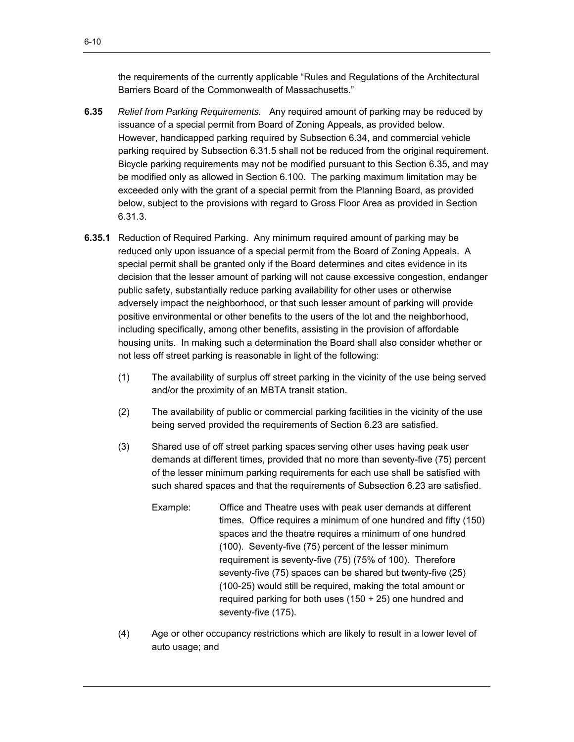the requirements of the currently applicable "Rules and Regulations of the Architectural Barriers Board of the Commonwealth of Massachusetts."

- **6.35** *Relief from Parking Requirements.* Any required amount of parking may be reduced by issuance of a special permit from Board of Zoning Appeals, as provided below. However, handicapped parking required by Subsection 6.34, and commercial vehicle parking required by Subsection 6.31.5 shall not be reduced from the original requirement. Bicycle parking requirements may not be modified pursuant to this Section 6.35, and may be modified only as allowed in Section 6.100. The parking maximum limitation may be exceeded only with the grant of a special permit from the Planning Board, as provided below, subject to the provisions with regard to Gross Floor Area as provided in Section 6.31.3.
- **6.35.1** Reduction of Required Parking. Any minimum required amount of parking may be reduced only upon issuance of a special permit from the Board of Zoning Appeals. A special permit shall be granted only if the Board determines and cites evidence in its decision that the lesser amount of parking will not cause excessive congestion, endanger public safety, substantially reduce parking availability for other uses or otherwise adversely impact the neighborhood, or that such lesser amount of parking will provide positive environmental or other benefits to the users of the lot and the neighborhood, including specifically, among other benefits, assisting in the provision of affordable housing units. In making such a determination the Board shall also consider whether or not less off street parking is reasonable in light of the following:
	- (1) The availability of surplus off street parking in the vicinity of the use being served and/or the proximity of an MBTA transit station.
	- (2) The availability of public or commercial parking facilities in the vicinity of the use being served provided the requirements of Section 6.23 are satisfied.
	- (3) Shared use of off street parking spaces serving other uses having peak user demands at different times, provided that no more than seventy-five (75) percent of the lesser minimum parking requirements for each use shall be satisfied with such shared spaces and that the requirements of Subsection 6.23 are satisfied.
		- Example: Office and Theatre uses with peak user demands at different times. Office requires a minimum of one hundred and fifty (150) spaces and the theatre requires a minimum of one hundred (100). Seventy-five (75) percent of the lesser minimum requirement is seventy-five (75) (75% of 100). Therefore seventy-five (75) spaces can be shared but twenty-five (25) (100-25) would still be required, making the total amount or required parking for both uses (150 + 25) one hundred and seventy-five (175).
	- (4) Age or other occupancy restrictions which are likely to result in a lower level of auto usage; and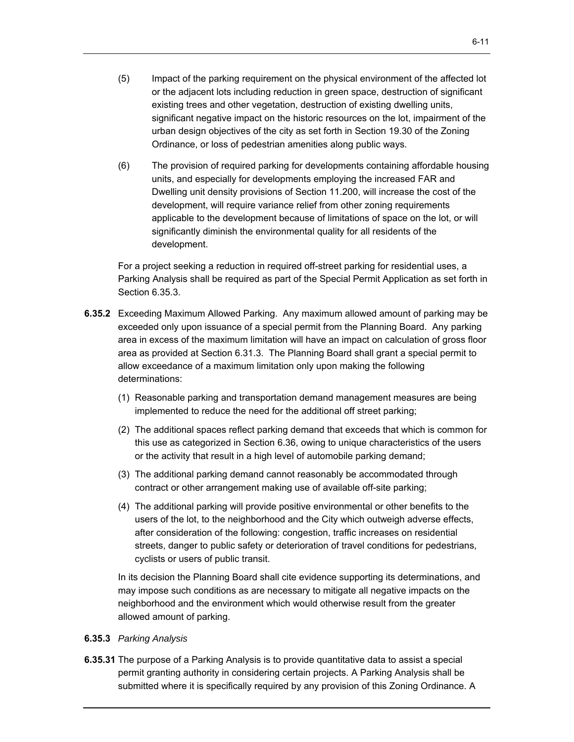- (5) Impact of the parking requirement on the physical environment of the affected lot or the adjacent lots including reduction in green space, destruction of significant existing trees and other vegetation, destruction of existing dwelling units, significant negative impact on the historic resources on the lot, impairment of the urban design objectives of the city as set forth in Section 19.30 of the Zoning Ordinance, or loss of pedestrian amenities along public ways.
- (6) The provision of required parking for developments containing affordable housing units, and especially for developments employing the increased FAR and Dwelling unit density provisions of Section 11.200, will increase the cost of the development, will require variance relief from other zoning requirements applicable to the development because of limitations of space on the lot, or will significantly diminish the environmental quality for all residents of the development.

For a project seeking a reduction in required off-street parking for residential uses, a Parking Analysis shall be required as part of the Special Permit Application as set forth in Section 6.35.3.

- **6.35.2** Exceeding Maximum Allowed Parking. Any maximum allowed amount of parking may be exceeded only upon issuance of a special permit from the Planning Board. Any parking area in excess of the maximum limitation will have an impact on calculation of gross floor area as provided at Section 6.31.3. The Planning Board shall grant a special permit to allow exceedance of a maximum limitation only upon making the following determinations:
	- (1) Reasonable parking and transportation demand management measures are being implemented to reduce the need for the additional off street parking;
	- (2) The additional spaces reflect parking demand that exceeds that which is common for this use as categorized in Section 6.36, owing to unique characteristics of the users or the activity that result in a high level of automobile parking demand;
	- (3) The additional parking demand cannot reasonably be accommodated through contract or other arrangement making use of available off-site parking;
	- (4) The additional parking will provide positive environmental or other benefits to the users of the lot, to the neighborhood and the City which outweigh adverse effects, after consideration of the following: congestion, traffic increases on residential streets, danger to public safety or deterioration of travel conditions for pedestrians, cyclists or users of public transit.

In its decision the Planning Board shall cite evidence supporting its determinations, and may impose such conditions as are necessary to mitigate all negative impacts on the neighborhood and the environment which would otherwise result from the greater allowed amount of parking.

### **6.35.3** *Parking Analysis*

**6.35.31** The purpose of a Parking Analysis is to provide quantitative data to assist a special permit granting authority in considering certain projects. A Parking Analysis shall be submitted where it is specifically required by any provision of this Zoning Ordinance. A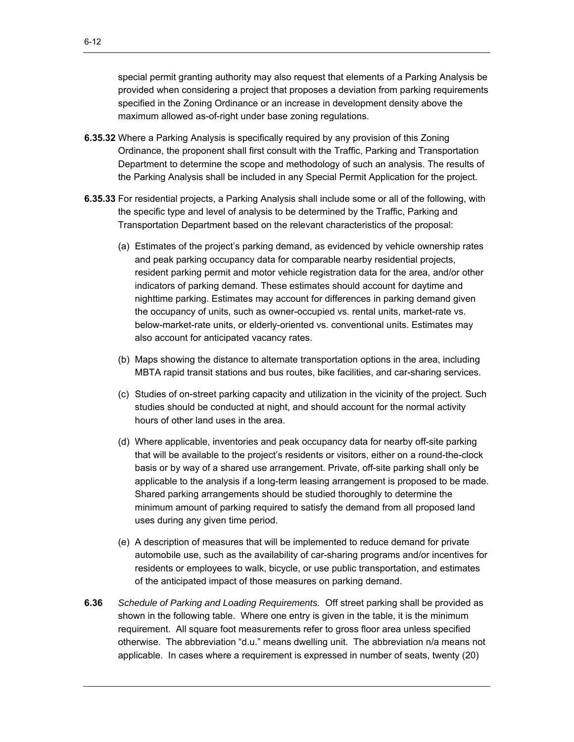special permit granting authority may also request that elements of a Parking Analysis be provided when considering a project that proposes a deviation from parking requirements specified in the Zoning Ordinance or an increase in development density above the maximum allowed as-of-right under base zoning regulations.

- **6.35.32** Where a Parking Analysis is specifically required by any provision of this Zoning Ordinance, the proponent shall first consult with the Traffic, Parking and Transportation Department to determine the scope and methodology of such an analysis. The results of the Parking Analysis shall be included in any Special Permit Application for the project.
- **6.35.33** For residential projects, a Parking Analysis shall include some or all of the following, with the specific type and level of analysis to be determined by the Traffic, Parking and Transportation Department based on the relevant characteristics of the proposal:
	- (a) Estimates of the project's parking demand, as evidenced by vehicle ownership rates and peak parking occupancy data for comparable nearby residential projects, resident parking permit and motor vehicle registration data for the area, and/or other indicators of parking demand. These estimates should account for daytime and nighttime parking. Estimates may account for differences in parking demand given the occupancy of units, such as owner-occupied vs. rental units, market-rate vs. below-market-rate units, or elderly-oriented vs. conventional units. Estimates may also account for anticipated vacancy rates.
	- (b) Maps showing the distance to alternate transportation options in the area, including MBTA rapid transit stations and bus routes, bike facilities, and car-sharing services.
	- (c) Studies of on-street parking capacity and utilization in the vicinity of the project. Such studies should be conducted at night, and should account for the normal activity hours of other land uses in the area.
	- (d) Where applicable, inventories and peak occupancy data for nearby off-site parking that will be available to the project's residents or visitors, either on a round-the-clock basis or by way of a shared use arrangement. Private, off-site parking shall only be applicable to the analysis if a long-term leasing arrangement is proposed to be made. Shared parking arrangements should be studied thoroughly to determine the minimum amount of parking required to satisfy the demand from all proposed land uses during any given time period.
	- (e) A description of measures that will be implemented to reduce demand for private automobile use, such as the availability of car-sharing programs and/or incentives for residents or employees to walk, bicycle, or use public transportation, and estimates of the anticipated impact of those measures on parking demand.
- **6.36** *Schedule of Parking and Loading Requirements.* Off street parking shall be provided as shown in the following table. Where one entry is given in the table, it is the minimum requirement. All square foot measurements refer to gross floor area unless specified otherwise. The abbreviation "d.u." means dwelling unit. The abbreviation n/a means not applicable. In cases where a requirement is expressed in number of seats, twenty (20)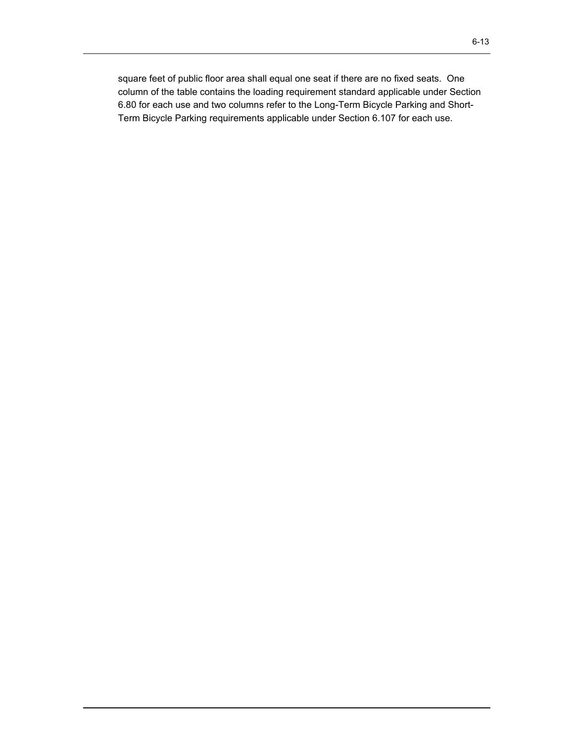square feet of public floor area shall equal one seat if there are no fixed seats. One column of the table contains the loading requirement standard applicable under Section 6.80 for each use and two columns refer to the Long-Term Bicycle Parking and Short-Term Bicycle Parking requirements applicable under Section 6.107 for each use.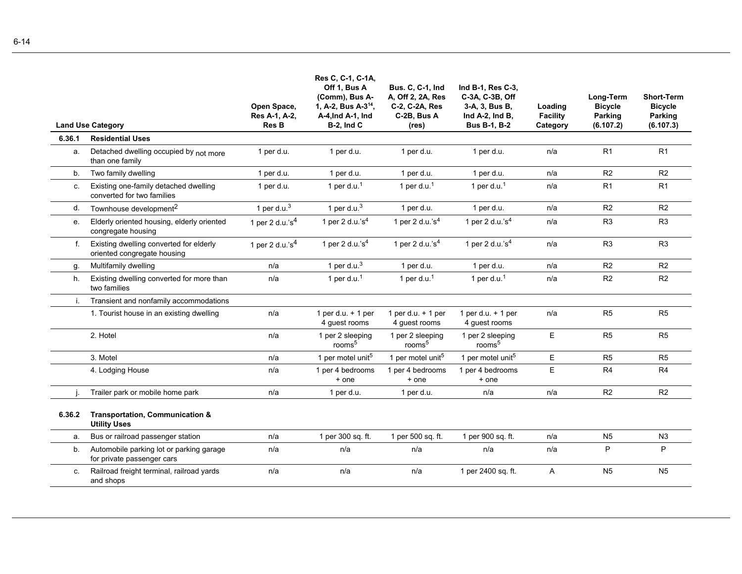|             | <b>Land Use Category</b>                                               | Open Space,<br>Res A-1, A-2,<br>Res B | Res C, C-1, C-1A,<br>Off 1, Bus A<br>(Comm), Bus A-<br>1, A-2, Bus A-3 <sup>14</sup> ,<br>A-4, Ind A-1, Ind<br>$B-2$ , Ind $C$ | <b>Bus. C, C-1, Ind</b><br>A, Off 2, 2A, Res<br>C-2, C-2A, Res<br>C-2B, Bus A<br>(res) | Ind B-1, Res C-3,<br>C-3A, C-3B, Off<br>3-A, 3, Bus B,<br>Ind A-2, Ind B,<br><b>Bus B-1, B-2</b> | Loading<br><b>Facility</b><br>Category | Long-Term<br><b>Bicycle</b><br>Parking<br>(6.107.2) | <b>Short-Term</b><br><b>Bicycle</b><br>Parking<br>(6.107.3) |
|-------------|------------------------------------------------------------------------|---------------------------------------|--------------------------------------------------------------------------------------------------------------------------------|----------------------------------------------------------------------------------------|--------------------------------------------------------------------------------------------------|----------------------------------------|-----------------------------------------------------|-------------------------------------------------------------|
| 6.36.1      | <b>Residential Uses</b>                                                |                                       |                                                                                                                                |                                                                                        |                                                                                                  |                                        |                                                     |                                                             |
| а.          | Detached dwelling occupied by not more<br>than one family              | 1 per d.u.                            | 1 per d.u.                                                                                                                     | 1 per d.u.                                                                             | 1 per d.u.                                                                                       | n/a                                    | R1                                                  | R1                                                          |
| b.          | Two family dwelling                                                    | 1 per d.u.                            | 1 per d.u.                                                                                                                     | 1 per d.u.                                                                             | 1 per d.u.                                                                                       | n/a                                    | R2                                                  | R2                                                          |
| C.          | Existing one-family detached dwelling<br>converted for two families    | 1 per d.u.                            | 1 per d.u. <sup>1</sup>                                                                                                        | 1 per d.u. $1$                                                                         | 1 per d.u. <sup>1</sup>                                                                          | n/a                                    | R1                                                  | R <sub>1</sub>                                              |
| d.          | Townhouse development <sup>2</sup>                                     | 1 per d.u. $3$                        | 1 per d.u. $3$                                                                                                                 | 1 per d.u.                                                                             | 1 per d.u.                                                                                       | n/a                                    | R2                                                  | R <sub>2</sub>                                              |
| e.          | Elderly oriented housing, elderly oriented<br>congregate housing       | 1 per 2 d.u.'s $^{4}$                 | 1 per 2 d.u.'s $4$                                                                                                             | 1 per 2 d.u.'s $4$                                                                     | 1 per 2 d.u.'s $4$                                                                               | n/a                                    | R <sub>3</sub>                                      | R <sub>3</sub>                                              |
| $f_{\cdot}$ | Existing dwelling converted for elderly<br>oriented congregate housing | 1 per 2 d.u.'s $4$                    | 1 per 2 d.u.'s $4$                                                                                                             | 1 per 2 d.u.'s $4$                                                                     | 1 per 2 d.u.'s $4$                                                                               | n/a                                    | R <sub>3</sub>                                      | R <sub>3</sub>                                              |
| g.          | Multifamily dwelling                                                   | n/a                                   | 1 per d.u. $3$                                                                                                                 | 1 per d.u.                                                                             | 1 per d.u.                                                                                       | n/a                                    | R <sub>2</sub>                                      | R <sub>2</sub>                                              |
| h.          | Existing dwelling converted for more than<br>two families              | n/a                                   | 1 per d.u. $1$                                                                                                                 | 1 per d.u. $1$                                                                         | 1 per d.u. <sup>1</sup>                                                                          | n/a                                    | R2                                                  | R2                                                          |
| i.          | Transient and nonfamily accommodations                                 |                                       |                                                                                                                                |                                                                                        |                                                                                                  |                                        |                                                     |                                                             |
|             | 1. Tourist house in an existing dwelling                               | n/a                                   | 1 per d.u. $+$ 1 per<br>4 guest rooms                                                                                          | 1 per d.u. $+$ 1 per<br>4 guest rooms                                                  | 1 per d.u. $+$ 1 per<br>4 guest rooms                                                            | n/a                                    | R <sub>5</sub>                                      | R <sub>5</sub>                                              |
|             | 2. Hotel                                                               | n/a                                   | 1 per 2 sleeping<br>rooms <sup>5</sup>                                                                                         | 1 per 2 sleeping<br>rooms <sup>5</sup>                                                 | 1 per 2 sleeping<br>rooms <sup>5</sup>                                                           | E                                      | R <sub>5</sub>                                      | R <sub>5</sub>                                              |
|             | 3. Motel                                                               | n/a                                   | 1 per motel unit <sup>5</sup>                                                                                                  | 1 per motel unit <sup>5</sup>                                                          | 1 per motel unit <sup>5</sup>                                                                    | E                                      | R5                                                  | R5                                                          |
|             | 4. Lodging House                                                       | n/a                                   | 1 per 4 bedrooms<br>+ one                                                                                                      | 1 per 4 bedrooms<br>+ one                                                              | 1 per 4 bedrooms<br>+ one                                                                        | E                                      | R <sub>4</sub>                                      | R <sub>4</sub>                                              |
|             | Trailer park or mobile home park                                       | n/a                                   | 1 per d.u.                                                                                                                     | 1 per d.u.                                                                             | n/a                                                                                              | n/a                                    | R2                                                  | R <sub>2</sub>                                              |
| 6.36.2      | <b>Transportation, Communication &amp;</b><br><b>Utility Uses</b>      |                                       |                                                                                                                                |                                                                                        |                                                                                                  |                                        |                                                     |                                                             |
| a.          | Bus or railroad passenger station                                      | n/a                                   | 1 per 300 sq. ft.                                                                                                              | 1 per 500 sq. ft.                                                                      | 1 per 900 sq. ft.                                                                                | n/a                                    | N <sub>5</sub>                                      | N3                                                          |
| b.          | Automobile parking lot or parking garage<br>for private passenger cars | n/a                                   | n/a                                                                                                                            | n/a                                                                                    | n/a                                                                                              | n/a                                    | P                                                   | P                                                           |
| C.          | Railroad freight terminal, railroad yards<br>and shops                 | n/a                                   | n/a                                                                                                                            | n/a                                                                                    | 1 per 2400 sq. ft.                                                                               | Α                                      | N <sub>5</sub>                                      | N <sub>5</sub>                                              |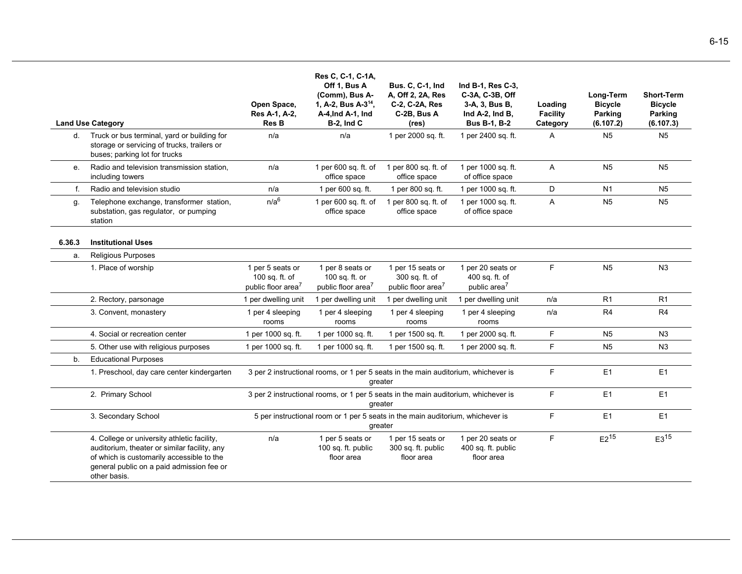|                | <b>Land Use Category</b>                                                                                                                                                                              | Open Space,<br>Res A-1, A-2,<br>Res B                                | Res C, C-1, C-1A,<br>Off 1, Bus A<br>(Comm), Bus A-<br>1, A-2, Bus A-3 <sup>14</sup> ,<br>A-4, Ind A-1, Ind<br><b>B-2, Ind C</b> | <b>Bus. C. C-1, Ind</b><br>A, Off 2, 2A, Res<br>C-2, C-2A, Res<br>C-2B, Bus A<br>(res) | Ind B-1, Res C-3,<br>C-3A, C-3B, Off<br>3-A, 3, Bus B,<br>Ind A-2, Ind B,<br><b>Bus B-1, B-2</b> | Loading<br><b>Facility</b><br>Category | Long-Term<br><b>Bicycle</b><br>Parking<br>(6.107.2) | <b>Short-Term</b><br><b>Bicycle</b><br><b>Parking</b><br>(6.107.3) |
|----------------|-------------------------------------------------------------------------------------------------------------------------------------------------------------------------------------------------------|----------------------------------------------------------------------|----------------------------------------------------------------------------------------------------------------------------------|----------------------------------------------------------------------------------------|--------------------------------------------------------------------------------------------------|----------------------------------------|-----------------------------------------------------|--------------------------------------------------------------------|
| d.             | Truck or bus terminal, yard or building for<br>storage or servicing of trucks, trailers or<br>buses; parking lot for trucks                                                                           | n/a                                                                  | n/a                                                                                                                              | 1 per 2000 sq. ft.                                                                     | 1 per 2400 sq. ft.                                                                               | A                                      | N <sub>5</sub>                                      | N <sub>5</sub>                                                     |
| $e_{1}$        | Radio and television transmission station.<br>including towers                                                                                                                                        | n/a                                                                  | 1 per 600 sq. ft. of<br>office space                                                                                             | 1 per 800 sq. ft. of<br>office space                                                   | 1 per 1000 sq. ft.<br>of office space                                                            | $\mathsf{A}$                           | N <sub>5</sub>                                      | N <sub>5</sub>                                                     |
| f.             | Radio and television studio                                                                                                                                                                           | n/a                                                                  | 1 per 600 sq. ft.                                                                                                                | 1 per 800 sq. ft.                                                                      | 1 per 1000 sq. ft.                                                                               | D                                      | N <sub>1</sub>                                      | N <sub>5</sub>                                                     |
| g.             | Telephone exchange, transformer station,<br>substation, gas regulator, or pumping<br>station                                                                                                          | n/a <sup>6</sup>                                                     | 1 per 600 sq. ft. of<br>office space                                                                                             | 1 per 800 sq. ft. of<br>office space                                                   | 1 per 1000 sq. ft.<br>of office space                                                            | A                                      | N <sub>5</sub>                                      | N <sub>5</sub>                                                     |
| 6.36.3         | <b>Institutional Uses</b>                                                                                                                                                                             |                                                                      |                                                                                                                                  |                                                                                        |                                                                                                  |                                        |                                                     |                                                                    |
| a.             | Religious Purposes                                                                                                                                                                                    |                                                                      |                                                                                                                                  |                                                                                        |                                                                                                  |                                        |                                                     |                                                                    |
|                | 1. Place of worship                                                                                                                                                                                   | 1 per 5 seats or<br>100 sq. ft. of<br>public floor area <sup>7</sup> | 1 per 8 seats or<br>100 sq. ft. or<br>public floor area <sup>7</sup>                                                             | 1 per 15 seats or<br>300 sq. ft. of<br>public floor area <sup>7</sup>                  | 1 per 20 seats or<br>400 sq. ft. of<br>public area <sup>7</sup>                                  | F                                      | N <sub>5</sub>                                      | N <sub>3</sub>                                                     |
|                | 2. Rectory, parsonage                                                                                                                                                                                 | 1 per dwelling unit                                                  | 1 per dwelling unit                                                                                                              | 1 per dwelling unit                                                                    | 1 per dwelling unit                                                                              | n/a                                    | R <sub>1</sub>                                      | R <sub>1</sub>                                                     |
|                | 3. Convent, monastery                                                                                                                                                                                 | 1 per 4 sleeping<br>rooms                                            | 1 per 4 sleeping<br>rooms                                                                                                        | 1 per 4 sleeping<br>rooms                                                              | 1 per 4 sleeping<br>rooms                                                                        | n/a                                    | R4                                                  | R <sub>4</sub>                                                     |
|                | 4. Social or recreation center                                                                                                                                                                        | 1 per 1000 sq. ft.                                                   | 1 per 1000 sq. ft.                                                                                                               | 1 per 1500 sq. ft.                                                                     | 1 per 2000 sq. ft.                                                                               | F                                      | N <sub>5</sub>                                      | N <sub>3</sub>                                                     |
|                | 5. Other use with religious purposes                                                                                                                                                                  | 1 per 1000 sq. ft.                                                   | 1 per 1000 sq. ft.                                                                                                               | 1 per 1500 sq. ft.                                                                     | 1 per 2000 sq. ft.                                                                               | F                                      | N <sub>5</sub>                                      | N <sub>3</sub>                                                     |
| b <sub>1</sub> | <b>Educational Purposes</b>                                                                                                                                                                           |                                                                      |                                                                                                                                  |                                                                                        |                                                                                                  |                                        |                                                     |                                                                    |
|                | 1. Preschool, day care center kindergarten                                                                                                                                                            |                                                                      | 3 per 2 instructional rooms, or 1 per 5 seats in the main auditorium, whichever is                                               | greater                                                                                |                                                                                                  | F                                      | E1                                                  | E1                                                                 |
|                | 2. Primary School                                                                                                                                                                                     |                                                                      | 3 per 2 instructional rooms, or 1 per 5 seats in the main auditorium, whichever is                                               | greater                                                                                |                                                                                                  | F                                      | E1                                                  | E <sub>1</sub>                                                     |
|                | 3. Secondary School                                                                                                                                                                                   |                                                                      | 5 per instructional room or 1 per 5 seats in the main auditorium, whichever is                                                   | greater                                                                                |                                                                                                  | F                                      | E1                                                  | E <sub>1</sub>                                                     |
|                | 4. College or university athletic facility,<br>auditorium, theater or similar facility, any<br>of which is customarily accessible to the<br>general public on a paid admission fee or<br>other basis. | n/a                                                                  | 1 per 5 seats or<br>100 sq. ft. public<br>floor area                                                                             | 1 per 15 seats or<br>300 sq. ft. public<br>floor area                                  | 1 per 20 seats or<br>400 sq. ft. public<br>floor area                                            | F                                      | $E2^{15}$                                           | $E3^{15}$                                                          |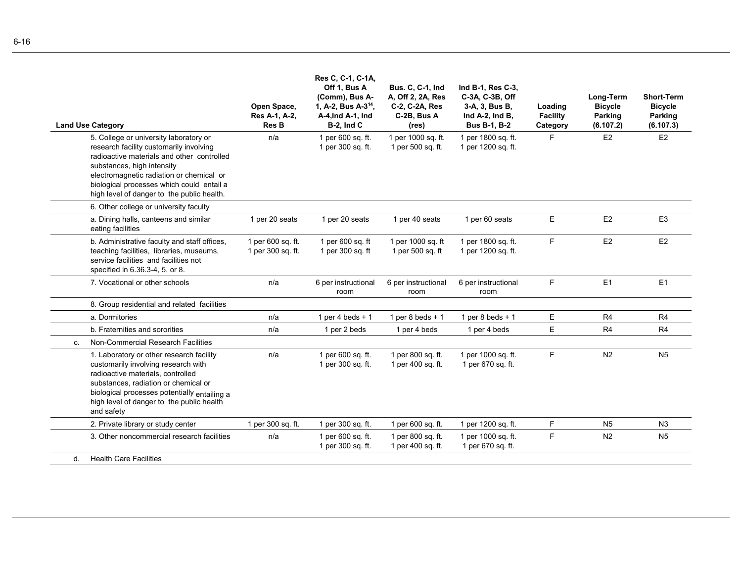|    | <b>Land Use Category</b>                                                                                                                                                                                                                                                                             | Open Space,<br>Res A-1, A-2,<br>Res B  | Res C, C-1, C-1A,<br>Off 1, Bus A<br>(Comm), Bus A-<br>1, A-2, Bus A-3 <sup>14</sup> ,<br>A-4, Ind A-1, Ind<br><b>B-2, Ind C</b> | <b>Bus. C, C-1, Ind</b><br>A, Off 2, 2A, Res<br>C-2, C-2A, Res<br>C-2B, Bus A<br>(res) | Ind B-1, Res C-3,<br>C-3A, C-3B, Off<br>3-A, 3, Bus B,<br>Ind A-2, Ind B,<br><b>Bus B-1, B-2</b> | Loading<br><b>Facility</b><br>Category | Long-Term<br><b>Bicycle</b><br>Parking<br>(6.107.2) | <b>Short-Term</b><br><b>Bicycle</b><br>Parking<br>(6.107.3) |
|----|------------------------------------------------------------------------------------------------------------------------------------------------------------------------------------------------------------------------------------------------------------------------------------------------------|----------------------------------------|----------------------------------------------------------------------------------------------------------------------------------|----------------------------------------------------------------------------------------|--------------------------------------------------------------------------------------------------|----------------------------------------|-----------------------------------------------------|-------------------------------------------------------------|
|    | 5. College or university laboratory or<br>research facility customarily involving<br>radioactive materials and other controlled<br>substances, high intensity<br>electromagnetic radiation or chemical or<br>biological processes which could entail a<br>high level of danger to the public health. | n/a                                    | 1 per 600 sq. ft.<br>1 per 300 sq. ft.                                                                                           | 1 per 1000 sq. ft.<br>1 per 500 sq. ft.                                                | 1 per 1800 sq. ft.<br>1 per 1200 sq. ft.                                                         | F.                                     | E2                                                  | E2                                                          |
|    | 6. Other college or university faculty                                                                                                                                                                                                                                                               |                                        |                                                                                                                                  |                                                                                        |                                                                                                  |                                        |                                                     |                                                             |
|    | a. Dining halls, canteens and similar<br>eating facilities                                                                                                                                                                                                                                           | 1 per 20 seats                         | 1 per 20 seats                                                                                                                   | 1 per 40 seats                                                                         | 1 per 60 seats                                                                                   | E                                      | E <sub>2</sub>                                      | E <sub>3</sub>                                              |
|    | b. Administrative faculty and staff offices,<br>teaching facilities, libraries, museums,<br>service facilities and facilities not<br>specified in 6.36.3-4, 5, or 8.                                                                                                                                 | 1 per 600 sq. ft.<br>1 per 300 sq. ft. | 1 per 600 sq. ft<br>1 per 300 sq. ft                                                                                             | 1 per 1000 sq. ft<br>1 per 500 sq. ft                                                  | 1 per 1800 sq. ft.<br>1 per 1200 sq. ft.                                                         | F.                                     | E <sub>2</sub>                                      | E <sub>2</sub>                                              |
|    | 7. Vocational or other schools                                                                                                                                                                                                                                                                       | n/a                                    | 6 per instructional<br>room                                                                                                      | 6 per instructional<br>room                                                            | 6 per instructional<br>room                                                                      | F.                                     | E1                                                  | E1                                                          |
|    | 8. Group residential and related facilities                                                                                                                                                                                                                                                          |                                        |                                                                                                                                  |                                                                                        |                                                                                                  |                                        |                                                     |                                                             |
|    | a. Dormitories                                                                                                                                                                                                                                                                                       | n/a                                    | 1 per 4 beds $+1$                                                                                                                | 1 per 8 beds $+1$                                                                      | 1 per 8 beds $+1$                                                                                | E.                                     | R <sub>4</sub>                                      | R4                                                          |
|    | b. Fraternities and sororities                                                                                                                                                                                                                                                                       | n/a                                    | 1 per 2 beds                                                                                                                     | 1 per 4 beds                                                                           | 1 per 4 beds                                                                                     | E                                      | R <sub>4</sub>                                      | R <sub>4</sub>                                              |
| C. | Non-Commercial Research Facilities                                                                                                                                                                                                                                                                   |                                        |                                                                                                                                  |                                                                                        |                                                                                                  |                                        |                                                     |                                                             |
|    | 1. Laboratory or other research facility<br>customarily involving research with<br>radioactive materials, controlled<br>substances, radiation or chemical or<br>biological processes potentially entailing a<br>high level of danger to the public health<br>and safety                              | n/a                                    | 1 per 600 sq. ft.<br>1 per 300 sq. ft.                                                                                           | 1 per 800 sq. ft.<br>1 per 400 sq. ft.                                                 | 1 per 1000 sq. ft.<br>1 per 670 sq. ft.                                                          | F                                      | N <sub>2</sub>                                      | N <sub>5</sub>                                              |
|    | 2. Private library or study center                                                                                                                                                                                                                                                                   | 1 per 300 sq. ft.                      | 1 per 300 sq. ft.                                                                                                                | 1 per 600 sq. ft.                                                                      | 1 per 1200 sq. ft.                                                                               | F                                      | N <sub>5</sub>                                      | N <sub>3</sub>                                              |
|    | 3. Other noncommercial research facilities                                                                                                                                                                                                                                                           | n/a                                    | 1 per 600 sq. ft.<br>1 per 300 sq. ft.                                                                                           | 1 per 800 sq. ft.<br>1 per 400 sq. ft.                                                 | 1 per 1000 sq. ft.<br>1 per 670 sq. ft.                                                          | F.                                     | N <sub>2</sub>                                      | N <sub>5</sub>                                              |
| d. | <b>Health Care Facilities</b>                                                                                                                                                                                                                                                                        |                                        |                                                                                                                                  |                                                                                        |                                                                                                  |                                        |                                                     |                                                             |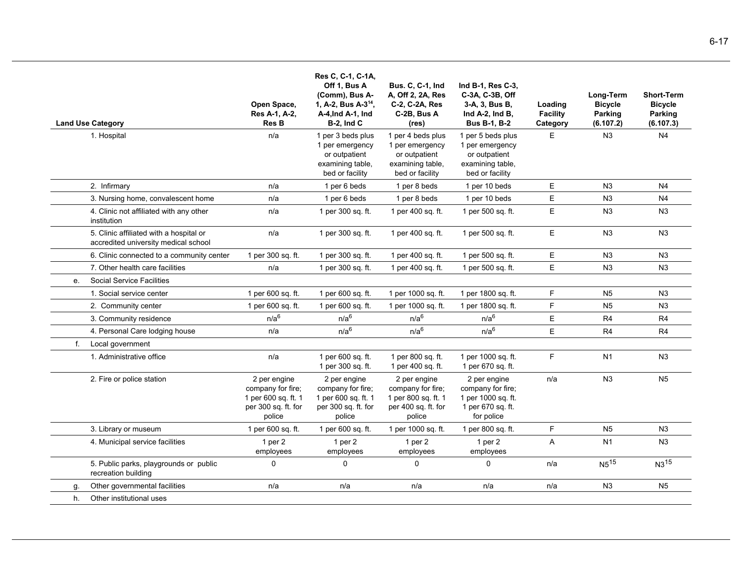|    | <b>Land Use Category</b>                                                        | Open Space,<br>Res A-1, A-2,<br><b>Res B</b>                                              | Res C, C-1, C-1A,<br>Off 1, Bus A<br>(Comm), Bus A-<br>1, A-2, Bus A-3 <sup>14</sup> ,<br>A-4, Ind A-1, Ind<br>$B-2$ , Ind C | <b>Bus. C, C-1, Ind</b><br>A, Off 2, 2A, Res<br>C-2, C-2A, Res<br>C-2B, Bus A<br>(res)       | Ind B-1, Res C-3,<br>C-3A, C-3B, Off<br>3-A, 3, Bus B,<br>Ind A-2, Ind B,<br><b>Bus B-1, B-2</b> | Loading<br><b>Facility</b><br>Category | Long-Term<br><b>Bicycle</b><br>Parking<br>(6.107.2) | <b>Short-Term</b><br><b>Bicycle</b><br>Parking<br>(6.107.3) |
|----|---------------------------------------------------------------------------------|-------------------------------------------------------------------------------------------|------------------------------------------------------------------------------------------------------------------------------|----------------------------------------------------------------------------------------------|--------------------------------------------------------------------------------------------------|----------------------------------------|-----------------------------------------------------|-------------------------------------------------------------|
|    | 1. Hospital                                                                     | n/a                                                                                       | 1 per 3 beds plus<br>1 per emergency<br>or outpatient<br>examining table,<br>bed or facility                                 | 1 per 4 beds plus<br>1 per emergency<br>or outpatient<br>examining table,<br>bed or facility | 1 per 5 beds plus<br>1 per emergency<br>or outpatient<br>examining table,<br>bed or facility     | E                                      | N3                                                  | N <sub>4</sub>                                              |
|    | 2. Infirmary                                                                    | n/a                                                                                       | 1 per 6 beds                                                                                                                 | 1 per 8 beds                                                                                 | 1 per 10 beds                                                                                    | E                                      | N <sub>3</sub>                                      | N <sub>4</sub>                                              |
|    | 3. Nursing home, convalescent home                                              | n/a                                                                                       | 1 per 6 beds                                                                                                                 | 1 per 8 beds                                                                                 | 1 per 10 beds                                                                                    | E                                      | N <sub>3</sub>                                      | N <sub>4</sub>                                              |
|    | 4. Clinic not affiliated with any other<br>institution                          | n/a                                                                                       | 1 per 300 sq. ft.                                                                                                            | 1 per 400 sq. ft.                                                                            | 1 per 500 sq. ft.                                                                                | Ε                                      | N3                                                  | N <sub>3</sub>                                              |
|    | 5. Clinic affiliated with a hospital or<br>accredited university medical school | n/a                                                                                       | 1 per 300 sq. ft.                                                                                                            | 1 per 400 sq. ft.                                                                            | 1 per 500 sq. ft.                                                                                | E                                      | N3                                                  | N <sub>3</sub>                                              |
|    | 6. Clinic connected to a community center                                       | 1 per 300 sq. ft.                                                                         | 1 per 300 sq. ft.                                                                                                            | 1 per 400 sq. ft.                                                                            | 1 per 500 sq. ft.                                                                                | E                                      | N3                                                  | N3                                                          |
|    | 7. Other health care facilities                                                 | n/a                                                                                       | 1 per 300 sq. ft.                                                                                                            | 1 per 400 sq. ft.                                                                            | 1 per 500 sq. ft.                                                                                | E                                      | N3                                                  | N <sub>3</sub>                                              |
|    | <b>Social Service Facilities</b>                                                |                                                                                           |                                                                                                                              |                                                                                              |                                                                                                  |                                        |                                                     |                                                             |
|    | 1. Social service center                                                        | 1 per 600 sq. ft.                                                                         | 1 per 600 sq. ft.                                                                                                            | 1 per 1000 sq. ft.                                                                           | 1 per 1800 sq. ft.                                                                               | F.                                     | N <sub>5</sub>                                      | N <sub>3</sub>                                              |
|    | 2. Community center                                                             | 1 per 600 sq. ft.                                                                         | 1 per 600 sq. ft.                                                                                                            | 1 per 1000 sq. ft.                                                                           | 1 per 1800 sq. ft.                                                                               | F                                      | N <sub>5</sub>                                      | N3                                                          |
|    | 3. Community residence                                                          | n/a <sup>6</sup>                                                                          | n/a <sup>6</sup>                                                                                                             | n/a <sup>6</sup>                                                                             | n/a <sup>6</sup>                                                                                 | E                                      | R <sub>4</sub>                                      | R <sub>4</sub>                                              |
|    | 4. Personal Care lodging house                                                  | n/a                                                                                       | n/a <sup>6</sup>                                                                                                             | n/a <sup>6</sup>                                                                             | n/a <sup>6</sup>                                                                                 | E                                      | R <sub>4</sub>                                      | R4                                                          |
| f. | Local government                                                                |                                                                                           |                                                                                                                              |                                                                                              |                                                                                                  |                                        |                                                     |                                                             |
|    | 1. Administrative office                                                        | n/a                                                                                       | 1 per 600 sq. ft.<br>1 per 300 sq. ft.                                                                                       | 1 per 800 sq. ft.<br>1 per 400 sq. ft.                                                       | 1 per 1000 sq. ft.<br>1 per 670 sq. ft.                                                          | F                                      | N <sub>1</sub>                                      | N3                                                          |
|    | 2. Fire or police station                                                       | 2 per engine<br>company for fire;<br>1 per 600 sq. ft. 1<br>per 300 sq. ft. for<br>police | 2 per engine<br>company for fire;<br>1 per 600 sq. ft. 1<br>per 300 sq. ft. for<br>police                                    | 2 per engine<br>company for fire;<br>1 per 800 sq. ft. 1<br>per 400 sq. ft. for<br>police    | 2 per engine<br>company for fire;<br>1 per 1000 sq. ft.<br>1 per 670 sq. ft.<br>for police       | n/a                                    | N3                                                  | N <sub>5</sub>                                              |
|    | 3. Library or museum                                                            | 1 per 600 sq. ft.                                                                         | 1 per 600 sq. ft.                                                                                                            | 1 per 1000 sq. ft.                                                                           | 1 per 800 sq. ft.                                                                                | F.                                     | N <sub>5</sub>                                      | N <sub>3</sub>                                              |
|    | 4. Municipal service facilities                                                 | 1 per $2$<br>employees                                                                    | 1 per $2$<br>employees                                                                                                       | 1 per $2$<br>employees                                                                       | 1 per $2$<br>employees                                                                           | A                                      | N <sub>1</sub>                                      | N3                                                          |
|    | 5. Public parks, playgrounds or public<br>recreation building                   | $\mathbf 0$                                                                               | 0                                                                                                                            | $\mathbf 0$                                                                                  | 0                                                                                                | n/a                                    | $N5^{15}$                                           | $N3^{15}$                                                   |
| q. | Other governmental facilities                                                   | n/a                                                                                       | n/a                                                                                                                          | n/a                                                                                          | n/a                                                                                              | n/a                                    | N <sub>3</sub>                                      | N <sub>5</sub>                                              |
| h. | Other institutional uses                                                        |                                                                                           |                                                                                                                              |                                                                                              |                                                                                                  |                                        |                                                     |                                                             |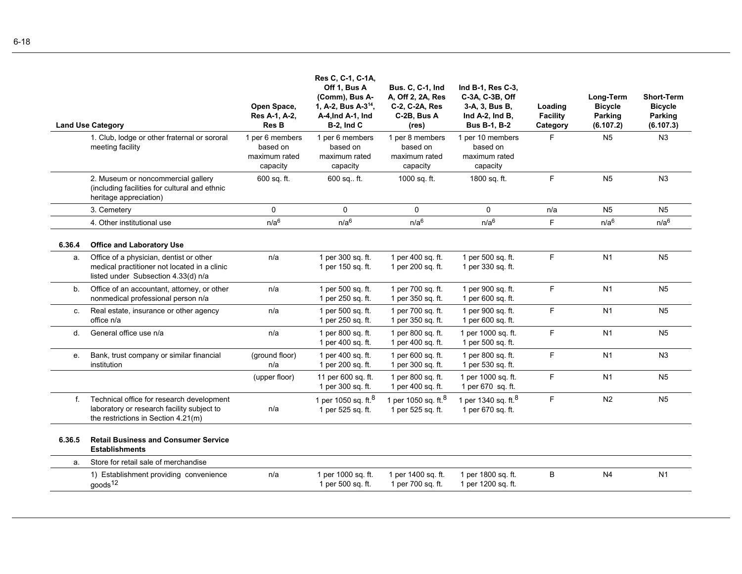|              | <b>Land Use Category</b>                                                                                                         | Open Space,<br>Res A-1, A-2,<br><b>Res B</b>             | Res C, C-1, C-1A,<br>Off 1, Bus A<br>(Comm), Bus A-<br>1, A-2, Bus A-3 <sup>14</sup> ,<br>A-4, Ind A-1, Ind<br><b>B-2, Ind C</b> | <b>Bus. C. C-1, Ind</b><br>A, Off 2, 2A, Res<br>C-2, C-2A, Res<br>C-2B, Bus A<br>(res) | Ind B-1, Res C-3,<br>C-3A, C-3B, Off<br>3-A, 3, Bus B,<br>Ind $A-2$ , Ind $B$ ,<br><b>Bus B-1, B-2</b> | Loading<br>Facility<br>Category | Long-Term<br><b>Bicycle</b><br>Parking<br>(6.107.2) | <b>Short-Term</b><br><b>Bicycle</b><br>Parking<br>(6.107.3) |
|--------------|----------------------------------------------------------------------------------------------------------------------------------|----------------------------------------------------------|----------------------------------------------------------------------------------------------------------------------------------|----------------------------------------------------------------------------------------|--------------------------------------------------------------------------------------------------------|---------------------------------|-----------------------------------------------------|-------------------------------------------------------------|
|              | 1. Club, lodge or other fraternal or sororal<br>meeting facility                                                                 | 1 per 6 members<br>based on<br>maximum rated<br>capacity | 1 per 6 members<br>based on<br>maximum rated<br>capacity                                                                         | 1 per 8 members<br>based on<br>maximum rated<br>capacity                               | 1 per 10 members<br>based on<br>maximum rated<br>capacity                                              | F.                              | N <sub>5</sub>                                      | N <sub>3</sub>                                              |
|              | 2. Museum or noncommercial gallery<br>(including facilities for cultural and ethnic<br>heritage appreciation)                    | 600 sq. ft.                                              | 600 sq., ft.                                                                                                                     | 1000 sq. ft.                                                                           | 1800 sq. ft.                                                                                           | F.                              | N <sub>5</sub>                                      | N <sub>3</sub>                                              |
|              | 3. Cemetery                                                                                                                      | $\Omega$                                                 | $\mathbf{0}$                                                                                                                     | 0                                                                                      | $\Omega$                                                                                               | n/a                             | N <sub>5</sub>                                      | N <sub>5</sub>                                              |
|              | 4. Other institutional use                                                                                                       | n/a <sup>6</sup>                                         | n/a <sup>6</sup>                                                                                                                 | n/a <sup>6</sup>                                                                       | n/a <sup>6</sup>                                                                                       | F.                              | n/a <sup>6</sup>                                    | n/a <sup>6</sup>                                            |
| 6.36.4       | <b>Office and Laboratory Use</b>                                                                                                 |                                                          |                                                                                                                                  |                                                                                        |                                                                                                        |                                 |                                                     |                                                             |
| a.           | Office of a physician, dentist or other<br>medical practitioner not located in a clinic<br>listed under Subsection 4.33(d) n/a   | n/a                                                      | 1 per 300 sq. ft.<br>1 per 150 sq. ft.                                                                                           | 1 per 400 sq. ft.<br>1 per 200 sq. ft.                                                 | 1 per 500 sq. ft.<br>1 per 330 sq. ft.                                                                 | F.                              | N <sub>1</sub>                                      | N <sub>5</sub>                                              |
| b.           | Office of an accountant, attorney, or other<br>nonmedical professional person n/a                                                | n/a                                                      | 1 per 500 sq. ft.<br>1 per 250 sq. ft.                                                                                           | 1 per 700 sq. ft.<br>1 per 350 sq. ft.                                                 | 1 per 900 sq. ft.<br>1 per 600 sq. ft.                                                                 | F                               | N <sub>1</sub>                                      | N <sub>5</sub>                                              |
| C.           | Real estate, insurance or other agency<br>office n/a                                                                             | n/a                                                      | 1 per 500 sq. ft.<br>1 per 250 sq. ft.                                                                                           | 1 per 700 sq. ft.<br>1 per 350 sq. ft.                                                 | 1 per 900 sq. ft.<br>1 per 600 sq. ft.                                                                 | F                               | N <sub>1</sub>                                      | N <sub>5</sub>                                              |
| $\mathsf{d}$ | General office use n/a                                                                                                           | n/a                                                      | 1 per 800 sq. ft.<br>1 per 400 sq. ft.                                                                                           | 1 per 800 sq. ft.<br>1 per 400 sq. ft.                                                 | 1 per 1000 sq. ft.<br>1 per 500 sq. ft.                                                                | F.                              | N1                                                  | N <sub>5</sub>                                              |
| е.           | Bank, trust company or similar financial<br>institution                                                                          | (ground floor)<br>n/a                                    | 1 per 400 sq. ft.<br>1 per 200 sq. ft.                                                                                           | 1 per 600 sq. ft.<br>1 per 300 sq. ft.                                                 | 1 per 800 sq. ft.<br>1 per 530 sq. ft.                                                                 | F.                              | N1                                                  | N <sub>3</sub>                                              |
|              |                                                                                                                                  | (upper floor)                                            | 11 per 600 sq. ft.<br>1 per 300 sq. ft.                                                                                          | 1 per 800 sq. ft.<br>1 per 400 sq. ft.                                                 | 1 per 1000 sq. ft.<br>1 per 670 sq. ft.                                                                | F.                              | N <sub>1</sub>                                      | N <sub>5</sub>                                              |
| f.           | Technical office for research development<br>laboratory or research facility subject to<br>the restrictions in Section $4.21(m)$ | n/a                                                      | 1 per 1050 sq. ft. $8$<br>1 per 525 sq. ft.                                                                                      | 1 per 1050 sq. ft. <sup>8</sup><br>1 per 525 sq. ft.                                   | 1 per 1340 sq. ft. <sup>8</sup><br>1 per 670 sq. ft.                                                   | F.                              | N <sub>2</sub>                                      | N <sub>5</sub>                                              |
| 6.36.5       | <b>Retail Business and Consumer Service</b><br><b>Establishments</b>                                                             |                                                          |                                                                                                                                  |                                                                                        |                                                                                                        |                                 |                                                     |                                                             |
| a.           | Store for retail sale of merchandise                                                                                             |                                                          |                                                                                                                                  |                                                                                        |                                                                                                        |                                 |                                                     |                                                             |
|              | 1) Establishment providing convenience<br>goods <sup>12</sup>                                                                    | n/a                                                      | 1 per 1000 sq. ft.<br>1 per 500 sq. ft.                                                                                          | 1 per 1400 sq. ft.<br>1 per 700 sq. ft.                                                | 1 per 1800 sq. ft.<br>1 per 1200 sq. ft.                                                               | B                               | N <sub>4</sub>                                      | N1                                                          |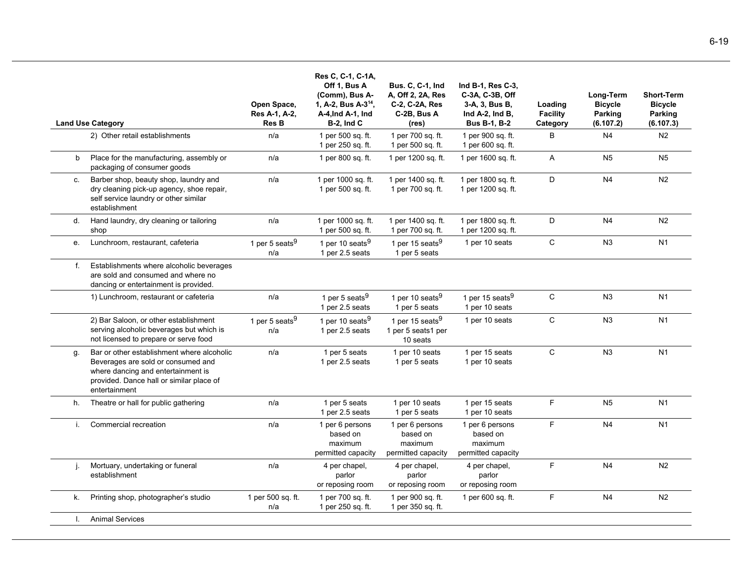|    | <b>Land Use Category</b>                                                                                                                                                            | Open Space,<br>Res A-1, A-2,<br><b>Res B</b> | Res C, C-1, C-1A,<br>Off 1, Bus A<br>(Comm), Bus A-<br>1, A-2, Bus A-3 <sup>14</sup> ,<br>A-4, Ind A-1, Ind<br><b>B-2, Ind C</b> | <b>Bus. C, C-1, Ind</b><br>A, Off 2, 2A, Res<br>C-2, C-2A, Res<br>C-2B, Bus A<br>(res) | Ind B-1, Res C-3,<br>C-3A, C-3B, Off<br>3-A, 3, Bus B,<br>Ind A-2, Ind B,<br><b>Bus B-1, B-2</b> | Loading<br><b>Facility</b><br>Category | Long-Term<br><b>Bicycle</b><br>Parking<br>(6.107.2) | <b>Short-Term</b><br><b>Bicycle</b><br>Parking<br>(6.107.3) |
|----|-------------------------------------------------------------------------------------------------------------------------------------------------------------------------------------|----------------------------------------------|----------------------------------------------------------------------------------------------------------------------------------|----------------------------------------------------------------------------------------|--------------------------------------------------------------------------------------------------|----------------------------------------|-----------------------------------------------------|-------------------------------------------------------------|
|    | 2) Other retail establishments                                                                                                                                                      | n/a                                          | 1 per 500 sq. ft.<br>1 per 250 sq. ft.                                                                                           | 1 per 700 sq. ft.<br>1 per 500 sq. ft.                                                 | 1 per 900 sq. ft.<br>1 per 600 sq. ft.                                                           | B                                      | N <sub>4</sub>                                      | N <sub>2</sub>                                              |
| b  | Place for the manufacturing, assembly or<br>packaging of consumer goods                                                                                                             | n/a                                          | 1 per 800 sq. ft.                                                                                                                | 1 per 1200 sq. ft.                                                                     | 1 per 1600 sq. ft.                                                                               | A                                      | N <sub>5</sub>                                      | N <sub>5</sub>                                              |
| C. | Barber shop, beauty shop, laundry and<br>dry cleaning pick-up agency, shoe repair,<br>self service laundry or other similar<br>establishment                                        | n/a                                          | 1 per 1000 sq. ft.<br>1 per 500 sq. ft.                                                                                          | 1 per 1400 sq. ft.<br>1 per 700 sq. ft.                                                | 1 per 1800 sq. ft.<br>1 per 1200 sq. ft.                                                         | D                                      | N <sub>4</sub>                                      | N <sub>2</sub>                                              |
| d. | Hand laundry, dry cleaning or tailoring<br>shop                                                                                                                                     | n/a                                          | 1 per 1000 sq. ft.<br>1 per 500 sq. ft.                                                                                          | 1 per 1400 sq. ft.<br>1 per 700 sq. ft.                                                | 1 per 1800 sq. ft.<br>1 per 1200 sq. ft.                                                         | D                                      | N <sub>4</sub>                                      | N2                                                          |
| e. | Lunchroom, restaurant, cafeteria                                                                                                                                                    | 1 per 5 seats $9$<br>n/a                     | 1 per 10 seats <sup>9</sup><br>1 per 2.5 seats                                                                                   | 1 per 15 seats <sup>9</sup><br>1 per 5 seats                                           | 1 per 10 seats                                                                                   | $\mathbf C$                            | N3                                                  | N <sub>1</sub>                                              |
| f. | Establishments where alcoholic beverages<br>are sold and consumed and where no<br>dancing or entertainment is provided.                                                             |                                              |                                                                                                                                  |                                                                                        |                                                                                                  |                                        |                                                     |                                                             |
|    | 1) Lunchroom, restaurant or cafeteria                                                                                                                                               | n/a                                          | 1 per 5 seats <sup>9</sup><br>1 per 2.5 seats                                                                                    | 1 per 10 seats <sup>9</sup><br>1 per 5 seats                                           | 1 per 15 seats <sup>9</sup><br>1 per 10 seats                                                    | $\mathsf{C}$                           | N <sub>3</sub>                                      | N <sub>1</sub>                                              |
|    | 2) Bar Saloon, or other establishment<br>serving alcoholic beverages but which is<br>not licensed to prepare or serve food                                                          | 1 per 5 seats <sup>9</sup><br>n/a            | 1 per 10 seats <sup>9</sup><br>1 per 2.5 seats                                                                                   | 1 per 15 seats <sup>9</sup><br>1 per 5 seats1 per<br>10 seats                          | 1 per 10 seats                                                                                   | $\mathsf{C}$                           | N <sub>3</sub>                                      | N <sub>1</sub>                                              |
| q. | Bar or other establishment where alcoholic<br>Beverages are sold or consumed and<br>where dancing and entertainment is<br>provided. Dance hall or similar place of<br>entertainment | n/a                                          | 1 per 5 seats<br>1 per 2.5 seats                                                                                                 | 1 per 10 seats<br>1 per 5 seats                                                        | 1 per 15 seats<br>1 per 10 seats                                                                 | $\mathsf C$                            | N <sub>3</sub>                                      | N <sub>1</sub>                                              |
| h. | Theatre or hall for public gathering                                                                                                                                                | n/a                                          | 1 per 5 seats<br>1 per 2.5 seats                                                                                                 | 1 per 10 seats<br>1 per 5 seats                                                        | 1 per 15 seats<br>1 per 10 seats                                                                 | $\mathsf F$                            | N <sub>5</sub>                                      | N <sub>1</sub>                                              |
| i. | Commercial recreation                                                                                                                                                               | n/a                                          | 1 per 6 persons<br>based on<br>maximum<br>permitted capacity                                                                     | 1 per 6 persons<br>based on<br>maximum<br>permitted capacity                           | 1 per 6 persons<br>based on<br>maximum<br>permitted capacity                                     | $\mathsf F$                            | N <sub>4</sub>                                      | N <sub>1</sub>                                              |
| j. | Mortuary, undertaking or funeral<br>establishment                                                                                                                                   | n/a                                          | 4 per chapel,<br>parlor<br>or reposing room                                                                                      | 4 per chapel,<br>parlor<br>or reposing room                                            | 4 per chapel,<br>parlor<br>or reposing room                                                      | F                                      | N <sub>4</sub>                                      | N <sub>2</sub>                                              |
| k. | Printing shop, photographer's studio                                                                                                                                                | 1 per 500 sq. ft.<br>n/a                     | 1 per 700 sq. ft.<br>1 per 250 sq. ft.                                                                                           | 1 per 900 sq. ft.<br>1 per 350 sq. ft.                                                 | 1 per 600 sq. ft.                                                                                | F                                      | N <sub>4</sub>                                      | N <sub>2</sub>                                              |
| I. | <b>Animal Services</b>                                                                                                                                                              |                                              |                                                                                                                                  |                                                                                        |                                                                                                  |                                        |                                                     |                                                             |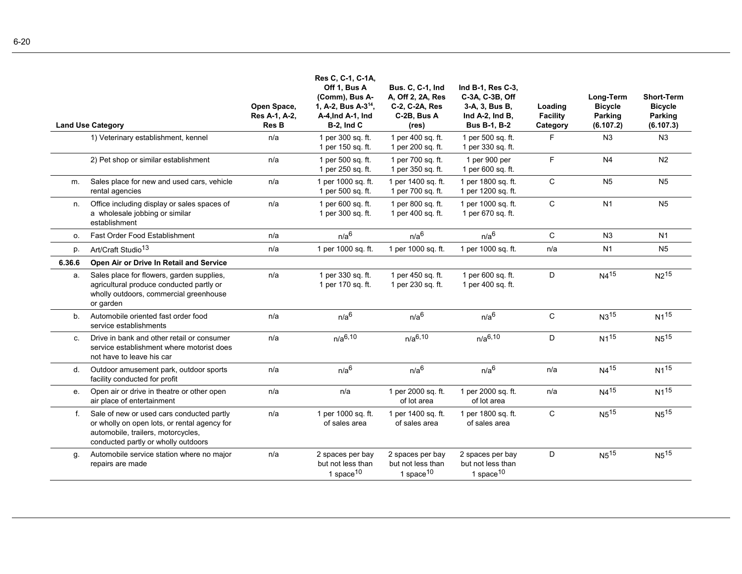|        | <b>Land Use Category</b>                                                                                                                                               | Open Space,<br>Res A-1, A-2,<br><b>Res B</b> | Res C, C-1, C-1A,<br>Off 1, Bus A<br>(Comm), Bus A-<br>1, A-2, Bus A-3 <sup>14</sup> ,<br>A-4, Ind A-1, Ind<br><b>B-2, Ind C</b> | <b>Bus. C. C-1, Ind</b><br>A, Off 2, 2A, Res<br>C-2, C-2A, Res<br>C-2B, Bus A<br>(res) | Ind B-1, Res C-3,<br>C-3A, C-3B, Off<br>3-A, 3, Bus B,<br>Ind A-2, Ind B,<br><b>Bus B-1, B-2</b> | Loading<br>Facility<br>Category | Long-Term<br><b>Bicycle</b><br>Parking<br>(6.107.2) | <b>Short-Term</b><br><b>Bicycle</b><br>Parking<br>(6.107.3) |
|--------|------------------------------------------------------------------------------------------------------------------------------------------------------------------------|----------------------------------------------|----------------------------------------------------------------------------------------------------------------------------------|----------------------------------------------------------------------------------------|--------------------------------------------------------------------------------------------------|---------------------------------|-----------------------------------------------------|-------------------------------------------------------------|
|        | 1) Veterinary establishment, kennel                                                                                                                                    | n/a                                          | 1 per 300 sq. ft.<br>1 per 150 sq. ft.                                                                                           | 1 per 400 sq. ft.<br>1 per 200 sq. ft.                                                 | 1 per 500 sq. ft.<br>1 per 330 sq. ft.                                                           | F                               | N <sub>3</sub>                                      | N <sub>3</sub>                                              |
|        | 2) Pet shop or similar establishment                                                                                                                                   | n/a                                          | 1 per 500 sq. ft.<br>1 per 250 sq. ft.                                                                                           | 1 per 700 sq. ft.<br>1 per 350 sq. ft.                                                 | 1 per 900 per<br>1 per 600 sq. ft.                                                               | F                               | N <sub>4</sub>                                      | N <sub>2</sub>                                              |
| m.     | Sales place for new and used cars, vehicle<br>rental agencies                                                                                                          | n/a                                          | 1 per 1000 sq. ft.<br>1 per 500 sq. ft.                                                                                          | 1 per 1400 sq. ft.<br>1 per 700 sq. ft.                                                | 1 per 1800 sq. ft.<br>1 per 1200 sq. ft.                                                         | C                               | N <sub>5</sub>                                      | N <sub>5</sub>                                              |
| n.     | Office including display or sales spaces of<br>a wholesale jobbing or similar<br>establishment                                                                         | n/a                                          | 1 per 600 sq. ft.<br>1 per 300 sq. ft.                                                                                           | 1 per 800 sq. ft.<br>1 per 400 sq. ft.                                                 | 1 per 1000 sq. ft.<br>1 per 670 sq. ft.                                                          | $\mathsf{C}$                    | N <sub>1</sub>                                      | <b>N5</b>                                                   |
| o.     | Fast Order Food Establishment                                                                                                                                          | n/a                                          | n/a <sup>6</sup>                                                                                                                 | n/a <sup>6</sup>                                                                       | n/a <sup>6</sup>                                                                                 | C                               | N3                                                  | N <sub>1</sub>                                              |
| p.     | Art/Craft Studio <sup>13</sup>                                                                                                                                         | n/a                                          | 1 per 1000 sq. ft.                                                                                                               | 1 per 1000 sq. ft.                                                                     | 1 per 1000 sq. ft.                                                                               | n/a                             | N <sub>1</sub>                                      | N <sub>5</sub>                                              |
| 6.36.6 | Open Air or Drive In Retail and Service                                                                                                                                |                                              |                                                                                                                                  |                                                                                        |                                                                                                  |                                 |                                                     |                                                             |
| a.     | Sales place for flowers, garden supplies,<br>agricultural produce conducted partly or<br>wholly outdoors, commercial greenhouse<br>or garden                           | n/a                                          | 1 per 330 sq. ft.<br>1 per 170 sq. ft.                                                                                           | 1 per 450 sq. ft.<br>1 per 230 sq. ft.                                                 | 1 per 600 sq. ft.<br>1 per 400 sq. ft.                                                           | D                               | $N4^{15}$                                           | N <sub>215</sub>                                            |
| b.     | Automobile oriented fast order food<br>service establishments                                                                                                          | n/a                                          | n/a <sup>6</sup>                                                                                                                 | n/a <sup>6</sup>                                                                       | n/a <sup>6</sup>                                                                                 | $\mathbf C$                     | N315                                                | $N1^{15}$                                                   |
| C.     | Drive in bank and other retail or consumer<br>service establishment where motorist does<br>not have to leave his car                                                   | n/a                                          | $n/a^{6,10}$                                                                                                                     | $n/a^{6,10}$                                                                           | $n/a^{6,10}$                                                                                     | D                               | $N1^{15}$                                           | N <sub>5</sub> 15                                           |
| d.     | Outdoor amusement park, outdoor sports<br>facility conducted for profit                                                                                                | n/a                                          | n/a <sup>6</sup>                                                                                                                 | n/a <sup>6</sup>                                                                       | n/a <sup>6</sup>                                                                                 | n/a                             | N415                                                | $N1^{15}$                                                   |
| e.     | Open air or drive in theatre or other open<br>air place of entertainment                                                                                               | n/a                                          | n/a                                                                                                                              | 1 per 2000 sq. ft.<br>of lot area                                                      | 1 per 2000 sq. ft.<br>of lot area                                                                | n/a                             | $N4^{15}$                                           | $N1^{15}$                                                   |
| f.     | Sale of new or used cars conducted partly<br>or wholly on open lots, or rental agency for<br>automobile, trailers, motorcycles,<br>conducted partly or wholly outdoors | n/a                                          | 1 per 1000 sq. ft.<br>of sales area                                                                                              | 1 per 1400 sq. ft.<br>of sales area                                                    | 1 per 1800 sq. ft.<br>of sales area                                                              | C                               | $N5^{15}$                                           | N <sub>5</sub> 15                                           |
| g.     | Automobile service station where no major<br>repairs are made                                                                                                          | n/a                                          | 2 spaces per bay<br>but not less than<br>1 space $10$                                                                            | 2 spaces per bay<br>but not less than<br>1 space $10$                                  | 2 spaces per bay<br>but not less than<br>1 space $10$                                            | D                               | N <sub>5</sub> 15                                   | N <sub>5</sub> 15                                           |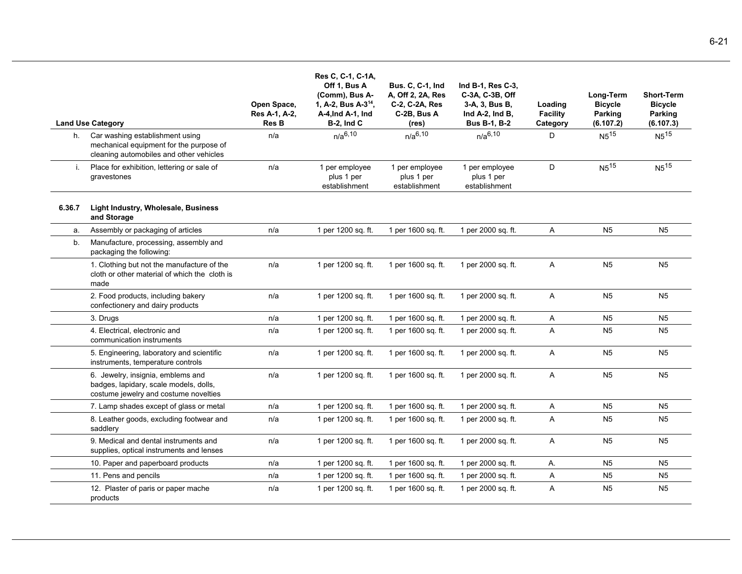|        | <b>Land Use Category</b>                                                                                                 | Open Space,<br>Res A-1, A-2,<br><b>Res B</b> | Res C, C-1, C-1A,<br>Off 1, Bus A<br>(Comm), Bus A-<br>1, A-2, Bus A-3 <sup>14</sup> ,<br>A-4, Ind A-1, Ind<br>$B-2$ , Ind C | <b>Bus. C, C-1, Ind</b><br>A, Off 2, 2A, Res<br>C-2, C-2A, Res<br>C-2B, Bus A<br>(res) | Ind B-1, Res C-3,<br>C-3A, C-3B, Off<br>3-A, 3, Bus B,<br>Ind $A-2$ , Ind $B$ ,<br><b>Bus B-1, B-2</b> | Loading<br><b>Facility</b><br>Category | Long-Term<br><b>Bicycle</b><br>Parking<br>(6.107.2) | <b>Short-Term</b><br><b>Bicycle</b><br>Parking<br>(6.107.3) |
|--------|--------------------------------------------------------------------------------------------------------------------------|----------------------------------------------|------------------------------------------------------------------------------------------------------------------------------|----------------------------------------------------------------------------------------|--------------------------------------------------------------------------------------------------------|----------------------------------------|-----------------------------------------------------|-------------------------------------------------------------|
|        | h. Car washing establishment using<br>mechanical equipment for the purpose of<br>cleaning automobiles and other vehicles | n/a                                          | $n/a^{6,10}$                                                                                                                 | $n/a^{6,10}$                                                                           | $n/a^{6,10}$                                                                                           | D                                      | $N5^{15}$                                           | $N5^{15}$                                                   |
| i.     | Place for exhibition, lettering or sale of<br>gravestones                                                                | n/a                                          | 1 per employee<br>plus 1 per<br>establishment                                                                                | 1 per employee<br>plus 1 per<br>establishment                                          | 1 per employee<br>plus 1 per<br>establishment                                                          | D                                      | $N5^{15}$                                           | N <sub>515</sub>                                            |
| 6.36.7 | Light Industry, Wholesale, Business<br>and Storage                                                                       |                                              |                                                                                                                              |                                                                                        |                                                                                                        |                                        |                                                     |                                                             |
| a.     | Assembly or packaging of articles                                                                                        | n/a                                          | 1 per 1200 sq. ft.                                                                                                           | 1 per 1600 sq. ft.                                                                     | 1 per 2000 sq. ft.                                                                                     | Α                                      | N <sub>5</sub>                                      | N <sub>5</sub>                                              |
| b.     | Manufacture, processing, assembly and<br>packaging the following:                                                        |                                              |                                                                                                                              |                                                                                        |                                                                                                        |                                        |                                                     |                                                             |
|        | 1. Clothing but not the manufacture of the<br>cloth or other material of which the cloth is<br>made                      | n/a                                          | 1 per 1200 sq. ft.                                                                                                           | 1 per 1600 sq. ft.                                                                     | 1 per 2000 sq. ft.                                                                                     | A                                      | N <sub>5</sub>                                      | N <sub>5</sub>                                              |
|        | 2. Food products, including bakery<br>confectionery and dairy products                                                   | n/a                                          | 1 per 1200 sq. ft.                                                                                                           | 1 per 1600 sq. ft.                                                                     | 1 per 2000 sq. ft.                                                                                     | Α                                      | N <sub>5</sub>                                      | N <sub>5</sub>                                              |
|        | 3. Drugs                                                                                                                 | n/a                                          | 1 per 1200 sq. ft.                                                                                                           | 1 per 1600 sq. ft.                                                                     | 1 per 2000 sq. ft.                                                                                     | Α                                      | N <sub>5</sub>                                      | N <sub>5</sub>                                              |
|        | 4. Electrical, electronic and<br>communication instruments                                                               | n/a                                          | 1 per 1200 sq. ft.                                                                                                           | 1 per 1600 sq. ft.                                                                     | 1 per 2000 sq. ft.                                                                                     | Α                                      | N <sub>5</sub>                                      | N <sub>5</sub>                                              |
|        | 5. Engineering, laboratory and scientific<br>instruments, temperature controls                                           | n/a                                          | 1 per 1200 sq. ft.                                                                                                           | 1 per 1600 sq. ft.                                                                     | 1 per 2000 sq. ft.                                                                                     | Α                                      | N <sub>5</sub>                                      | N <sub>5</sub>                                              |
|        | 6. Jewelry, insignia, emblems and<br>badges, lapidary, scale models, dolls,<br>costume jewelry and costume novelties     | n/a                                          | 1 per 1200 sq. ft.                                                                                                           | 1 per 1600 sq. ft.                                                                     | 1 per 2000 sq. ft.                                                                                     | A                                      | N <sub>5</sub>                                      | N <sub>5</sub>                                              |
|        | 7. Lamp shades except of glass or metal                                                                                  | n/a                                          | 1 per 1200 sq. ft.                                                                                                           | 1 per 1600 sq. ft.                                                                     | 1 per 2000 sq. ft.                                                                                     | Α                                      | N <sub>5</sub>                                      | N <sub>5</sub>                                              |
|        | 8. Leather goods, excluding footwear and<br>saddlery                                                                     | n/a                                          | 1 per 1200 sq. ft.                                                                                                           | 1 per 1600 sq. ft.                                                                     | 1 per 2000 sq. ft.                                                                                     | Α                                      | N <sub>5</sub>                                      | N <sub>5</sub>                                              |
|        | 9. Medical and dental instruments and<br>supplies, optical instruments and lenses                                        | n/a                                          | 1 per 1200 sq. ft.                                                                                                           | 1 per 1600 sq. ft.                                                                     | 1 per 2000 sq. ft.                                                                                     | Α                                      | N <sub>5</sub>                                      | N <sub>5</sub>                                              |
|        | 10. Paper and paperboard products                                                                                        | n/a                                          | 1 per 1200 sq. ft.                                                                                                           | 1 per 1600 sq. ft.                                                                     | 1 per 2000 sq. ft.                                                                                     | Α.                                     | N <sub>5</sub>                                      | N <sub>5</sub>                                              |
|        | 11. Pens and pencils                                                                                                     | n/a                                          | 1 per 1200 sq. ft.                                                                                                           | 1 per 1600 sq. ft.                                                                     | 1 per 2000 sq. ft.                                                                                     | A                                      | N <sub>5</sub>                                      | N <sub>5</sub>                                              |
|        | 12. Plaster of paris or paper mache<br>products                                                                          | n/a                                          | 1 per 1200 sq. ft.                                                                                                           | 1 per 1600 sq. ft.                                                                     | 1 per 2000 sq. ft.                                                                                     | Α                                      | N <sub>5</sub>                                      | N <sub>5</sub>                                              |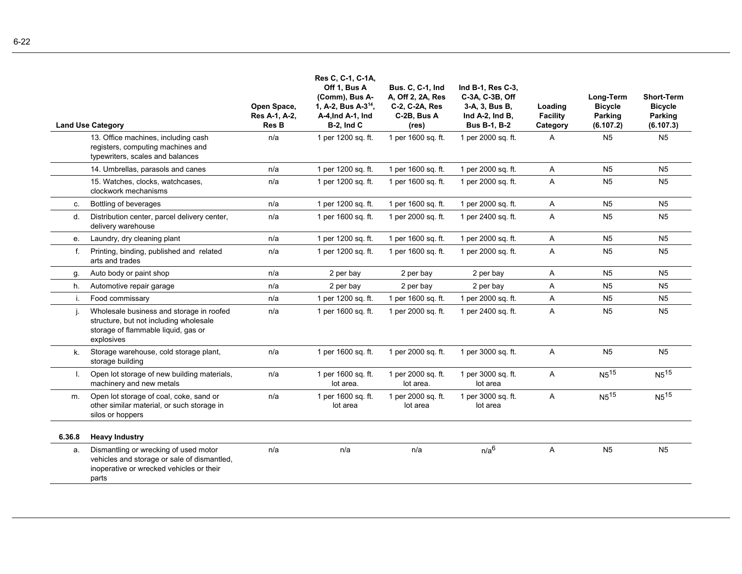|              | <b>Land Use Category</b>                                                                                                                  | Open Space,<br>Res A-1, A-2,<br><b>Res B</b> | Res C, C-1, C-1A,<br>Off 1, Bus A<br>(Comm), Bus A-<br>1, A-2, Bus A-3 <sup>14</sup> ,<br>A-4, Ind A-1, Ind<br>$B-2$ , Ind C | <b>Bus. C. C-1, Ind</b><br>A, Off 2, 2A, Res<br>C-2, C-2A, Res<br>C-2B, Bus A<br>(res) | Ind B-1, Res C-3,<br>C-3A, C-3B, Off<br>3-A, 3, Bus B,<br>Ind A-2, Ind B,<br><b>Bus B-1, B-2</b> | Loading<br><b>Facility</b><br>Category | Long-Term<br><b>Bicycle</b><br><b>Parking</b><br>(6.107.2) | <b>Short-Term</b><br><b>Bicycle</b><br><b>Parking</b><br>(6.107.3) |
|--------------|-------------------------------------------------------------------------------------------------------------------------------------------|----------------------------------------------|------------------------------------------------------------------------------------------------------------------------------|----------------------------------------------------------------------------------------|--------------------------------------------------------------------------------------------------|----------------------------------------|------------------------------------------------------------|--------------------------------------------------------------------|
|              | 13. Office machines, including cash<br>registers, computing machines and<br>typewriters, scales and balances                              | n/a                                          | 1 per 1200 sq. ft.                                                                                                           | 1 per 1600 sq. ft.                                                                     | 1 per 2000 sq. ft.                                                                               | Α                                      | N <sub>5</sub>                                             | N <sub>5</sub>                                                     |
|              | 14. Umbrellas, parasols and canes                                                                                                         | n/a                                          | 1 per 1200 sq. ft.                                                                                                           | 1 per 1600 sq. ft.                                                                     | 1 per 2000 sq. ft.                                                                               | A                                      | N <sub>5</sub>                                             | N <sub>5</sub>                                                     |
|              | 15. Watches, clocks, watchcases,<br>clockwork mechanisms                                                                                  | n/a                                          | 1 per 1200 sq. ft.                                                                                                           | 1 per 1600 sq. ft.                                                                     | 1 per 2000 sq. ft.                                                                               | A                                      | N <sub>5</sub>                                             | N <sub>5</sub>                                                     |
| C.           | Bottling of beverages                                                                                                                     | n/a                                          | 1 per 1200 sq. ft.                                                                                                           | 1 per 1600 sq. ft.                                                                     | 1 per 2000 sq. ft.                                                                               | Α                                      | N <sub>5</sub>                                             | N <sub>5</sub>                                                     |
| d.           | Distribution center, parcel delivery center,<br>delivery warehouse                                                                        | n/a                                          | 1 per 1600 sq. ft.                                                                                                           | 1 per 2000 sq. ft.                                                                     | 1 per 2400 sq. ft.                                                                               | A                                      | N <sub>5</sub>                                             | N <sub>5</sub>                                                     |
| e.           | Laundry, dry cleaning plant                                                                                                               | n/a                                          | 1 per 1200 sq. ft.                                                                                                           | 1 per 1600 sq. ft.                                                                     | 1 per 2000 sq. ft.                                                                               | A                                      | N <sub>5</sub>                                             | N <sub>5</sub>                                                     |
| f.           | Printing, binding, published and related<br>arts and trades                                                                               | n/a                                          | 1 per 1200 sq. ft.                                                                                                           | 1 per 1600 sq. ft.                                                                     | 1 per 2000 sq. ft.                                                                               | $\overline{A}$                         | N <sub>5</sub>                                             | N <sub>5</sub>                                                     |
| g.           | Auto body or paint shop                                                                                                                   | n/a                                          | 2 per bay                                                                                                                    | 2 per bay                                                                              | 2 per bay                                                                                        | Α                                      | N <sub>5</sub>                                             | <b>N5</b>                                                          |
| h.           | Automotive repair garage                                                                                                                  | n/a                                          | 2 per bay                                                                                                                    | 2 per bay                                                                              | 2 per bay                                                                                        | A                                      | N <sub>5</sub>                                             | N <sub>5</sub>                                                     |
| i.           | Food commissary                                                                                                                           | n/a                                          | 1 per 1200 sq. ft.                                                                                                           | 1 per 1600 sq. ft.                                                                     | 1 per 2000 sq. ft.                                                                               | A                                      | <b>N5</b>                                                  | N <sub>5</sub>                                                     |
| j.           | Wholesale business and storage in roofed<br>structure, but not including wholesale<br>storage of flammable liquid, gas or<br>explosives   | n/a                                          | 1 per 1600 sq. ft.                                                                                                           | 1 per 2000 sq. ft.                                                                     | 1 per 2400 sq. ft.                                                                               | A                                      | <b>N5</b>                                                  | <b>N5</b>                                                          |
| k.           | Storage warehouse, cold storage plant,<br>storage building                                                                                | n/a                                          | 1 per 1600 sq. ft.                                                                                                           | 1 per 2000 sq. ft.                                                                     | 1 per 3000 sq. ft.                                                                               | A                                      | N <sub>5</sub>                                             | N <sub>5</sub>                                                     |
| $\mathbf{L}$ | Open lot storage of new building materials,<br>machinery and new metals                                                                   | n/a                                          | 1 per 1600 sq. ft.<br>lot area.                                                                                              | 1 per 2000 sq. ft.<br>lot area.                                                        | 1 per 3000 sq. ft.<br>lot area                                                                   | A                                      | N <sub>5</sub> 15                                          | $N5^{15}$                                                          |
| m.           | Open lot storage of coal, coke, sand or<br>other similar material, or such storage in<br>silos or hoppers                                 | n/a                                          | 1 per 1600 sq. ft.<br>lot area                                                                                               | 1 per 2000 sq. ft.<br>lot area                                                         | 1 per 3000 sq. ft.<br>lot area                                                                   | A                                      | $N5^{15}$                                                  | $N5^{15}$                                                          |
| 6.36.8       | <b>Heavy Industry</b>                                                                                                                     |                                              |                                                                                                                              |                                                                                        |                                                                                                  |                                        |                                                            |                                                                    |
| a.           | Dismantling or wrecking of used motor<br>vehicles and storage or sale of dismantled,<br>inoperative or wrecked vehicles or their<br>parts | n/a                                          | n/a                                                                                                                          | n/a                                                                                    | n/a <sup>6</sup>                                                                                 | A                                      | <b>N5</b>                                                  | N <sub>5</sub>                                                     |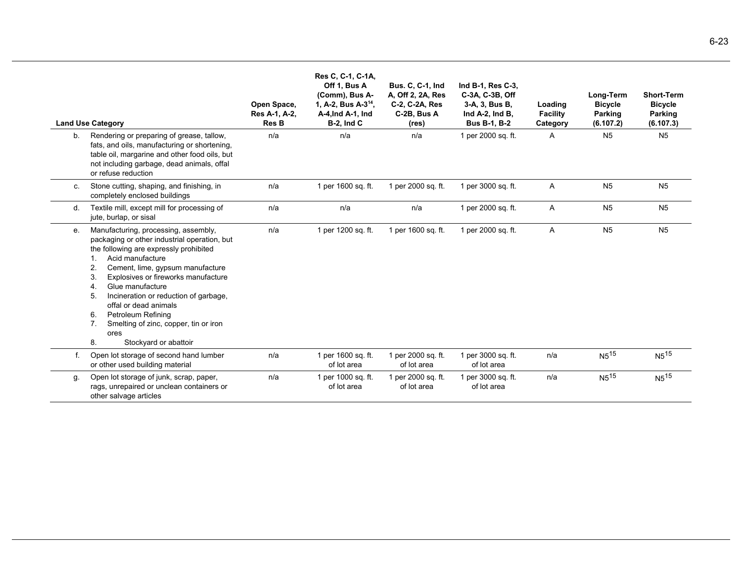|    | <b>Land Use Category</b>                                                                                                                                                                                                                                                                                                                                                                                                                                                        | Open Space,<br>Res A-1, A-2,<br><b>Res B</b> | Res C, C-1, C-1A,<br>Off 1, Bus A<br>(Comm), Bus A-<br>1, A-2, Bus A-3 <sup>14</sup> ,<br>A-4, Ind A-1, Ind<br><b>B-2, Ind C</b> | <b>Bus. C. C-1, Ind</b><br>A, Off 2, 2A, Res<br>C-2, C-2A, Res<br>C-2B, Bus A<br>(res) | Ind B-1, Res C-3,<br>C-3A, C-3B, Off<br>3-A, 3, Bus B,<br>Ind A-2, Ind B,<br><b>Bus B-1, B-2</b> | Loading<br><b>Facility</b><br>Category | Long-Term<br><b>Bicycle</b><br>Parking<br>(6.107.2) | <b>Short-Term</b><br><b>Bicycle</b><br>Parking<br>(6.107.3) |
|----|---------------------------------------------------------------------------------------------------------------------------------------------------------------------------------------------------------------------------------------------------------------------------------------------------------------------------------------------------------------------------------------------------------------------------------------------------------------------------------|----------------------------------------------|----------------------------------------------------------------------------------------------------------------------------------|----------------------------------------------------------------------------------------|--------------------------------------------------------------------------------------------------|----------------------------------------|-----------------------------------------------------|-------------------------------------------------------------|
| b. | Rendering or preparing of grease, tallow,<br>fats, and oils, manufacturing or shortening,<br>table oil, margarine and other food oils, but<br>not including garbage, dead animals, offal<br>or refuse reduction                                                                                                                                                                                                                                                                 | n/a                                          | n/a                                                                                                                              | n/a                                                                                    | 1 per 2000 sq. ft.                                                                               | Α                                      | N <sub>5</sub>                                      | N <sub>5</sub>                                              |
| C. | Stone cutting, shaping, and finishing, in<br>completely enclosed buildings                                                                                                                                                                                                                                                                                                                                                                                                      | n/a                                          | 1 per 1600 sq. ft.                                                                                                               | 1 per 2000 sq. ft.                                                                     | 1 per 3000 sq. ft.                                                                               | Α                                      | N <sub>5</sub>                                      | N <sub>5</sub>                                              |
| d. | Textile mill, except mill for processing of<br>jute, burlap, or sisal                                                                                                                                                                                                                                                                                                                                                                                                           | n/a                                          | n/a                                                                                                                              | n/a                                                                                    | 1 per 2000 sq. ft.                                                                               | $\overline{A}$                         | N <sub>5</sub>                                      | N <sub>5</sub>                                              |
| е. | Manufacturing, processing, assembly,<br>packaging or other industrial operation, but<br>the following are expressly prohibited<br>Acid manufacture<br>$\mathbf{1}$ .<br>Cement, lime, gypsum manufacture<br>2.<br>Explosives or fireworks manufacture<br>3.<br>Glue manufacture<br>4.<br>Incineration or reduction of garbage,<br>5.<br>offal or dead animals<br>Petroleum Refining<br>6.<br>Smelting of zinc, copper, tin or iron<br>7.<br>ores<br>8.<br>Stockyard or abattoir | n/a                                          | 1 per 1200 sq. ft.                                                                                                               | 1 per 1600 sq. ft.                                                                     | 1 per 2000 sq. ft.                                                                               | Α                                      | N <sub>5</sub>                                      | N <sub>5</sub>                                              |
| f. | Open lot storage of second hand lumber<br>or other used building material                                                                                                                                                                                                                                                                                                                                                                                                       | n/a                                          | 1 per 1600 sq. ft.<br>of lot area                                                                                                | 1 per 2000 sq. ft.<br>of lot area                                                      | 1 per 3000 sq. ft.<br>of lot area                                                                | n/a                                    | $N5^{15}$                                           | $N5$ <sup>15</sup>                                          |
| g. | Open lot storage of junk, scrap, paper,<br>rags, unrepaired or unclean containers or<br>other salvage articles                                                                                                                                                                                                                                                                                                                                                                  | n/a                                          | 1 per 1000 sq. ft.<br>of lot area                                                                                                | 1 per 2000 sq. ft.<br>of lot area                                                      | 1 per 3000 sq. ft.<br>of lot area                                                                | n/a                                    | $N5^{15}$                                           | $N5^{15}$                                                   |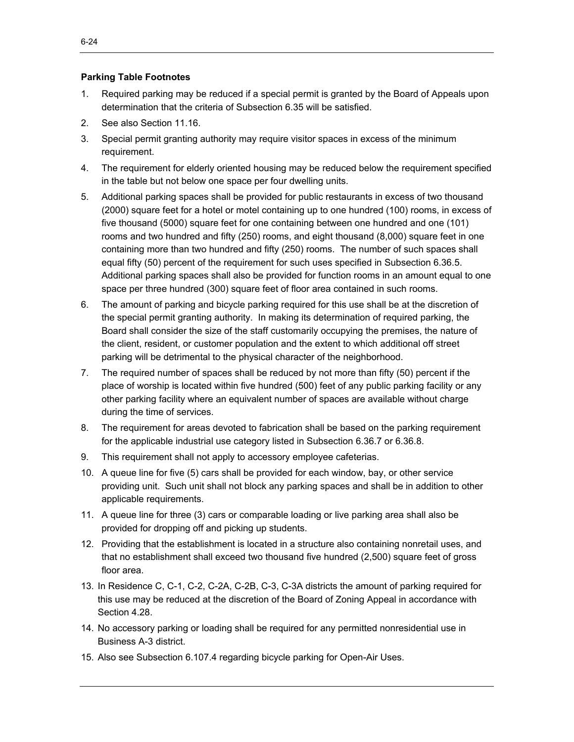## **Parking Table Footnotes**

- 1. Required parking may be reduced if a special permit is granted by the Board of Appeals upon determination that the criteria of Subsection 6.35 will be satisfied.
- 2. See also Section 11.16.
- 3. Special permit granting authority may require visitor spaces in excess of the minimum requirement.
- 4. The requirement for elderly oriented housing may be reduced below the requirement specified in the table but not below one space per four dwelling units.
- 5. Additional parking spaces shall be provided for public restaurants in excess of two thousand (2000) square feet for a hotel or motel containing up to one hundred (100) rooms, in excess of five thousand (5000) square feet for one containing between one hundred and one (101) rooms and two hundred and fifty (250) rooms, and eight thousand (8,000) square feet in one containing more than two hundred and fifty (250) rooms. The number of such spaces shall equal fifty (50) percent of the requirement for such uses specified in Subsection 6.36.5. Additional parking spaces shall also be provided for function rooms in an amount equal to one space per three hundred (300) square feet of floor area contained in such rooms.
- 6. The amount of parking and bicycle parking required for this use shall be at the discretion of the special permit granting authority. In making its determination of required parking, the Board shall consider the size of the staff customarily occupying the premises, the nature of the client, resident, or customer population and the extent to which additional off street parking will be detrimental to the physical character of the neighborhood.
- 7. The required number of spaces shall be reduced by not more than fifty (50) percent if the place of worship is located within five hundred (500) feet of any public parking facility or any other parking facility where an equivalent number of spaces are available without charge during the time of services.
- 8. The requirement for areas devoted to fabrication shall be based on the parking requirement for the applicable industrial use category listed in Subsection 6.36.7 or 6.36.8.
- 9. This requirement shall not apply to accessory employee cafeterias.
- 10. A queue line for five (5) cars shall be provided for each window, bay, or other service providing unit. Such unit shall not block any parking spaces and shall be in addition to other applicable requirements.
- 11. A queue line for three (3) cars or comparable loading or live parking area shall also be provided for dropping off and picking up students.
- 12. Providing that the establishment is located in a structure also containing nonretail uses, and that no establishment shall exceed two thousand five hundred (2,500) square feet of gross floor area.
- 13. In Residence C, C-1, C-2, C-2A, C-2B, C-3, C-3A districts the amount of parking required for this use may be reduced at the discretion of the Board of Zoning Appeal in accordance with Section 4.28.
- 14. No accessory parking or loading shall be required for any permitted nonresidential use in Business A-3 district.
- 15. Also see Subsection 6.107.4 regarding bicycle parking for Open-Air Uses.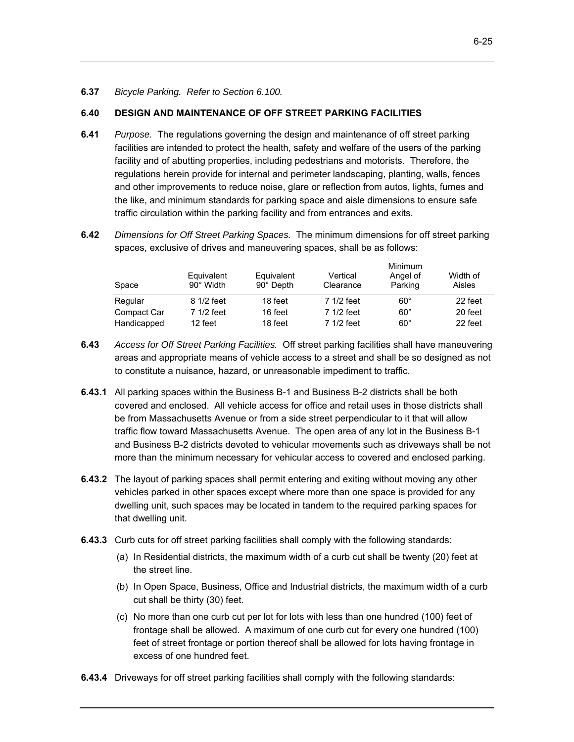## **6.40 DESIGN AND MAINTENANCE OF OFF STREET PARKING FACILITIES**

- **6.41** *Purpose.* The regulations governing the design and maintenance of off street parking facilities are intended to protect the health, safety and welfare of the users of the parking facility and of abutting properties, including pedestrians and motorists. Therefore, the regulations herein provide for internal and perimeter landscaping, planting, walls, fences and other improvements to reduce noise, glare or reflection from autos, lights, fumes and the like, and minimum standards for parking space and aisle dimensions to ensure safe traffic circulation within the parking facility and from entrances and exits.
- **6.42** *Dimensions for Off Street Parking Spaces.* The minimum dimensions for off street parking spaces, exclusive of drives and maneuvering spaces, shall be as follows:

| Space       | Equivalent<br>90° Width | Equivalent<br>90° Depth | Vertical<br>Clearance | Minimum<br>Angel of<br>Parking | Width of<br>Aisles |
|-------------|-------------------------|-------------------------|-----------------------|--------------------------------|--------------------|
| Regular     | 8 1/2 feet              | 18 feet                 | 7 1/2 feet            | $60^{\circ}$                   | 22 feet            |
| Compact Car | 7 1/2 feet              | 16 feet                 | 7 1/2 feet            | $60^{\circ}$                   | 20 feet            |
| Handicapped | 12 feet                 | 18 feet                 | 7 1/2 feet            | $60^{\circ}$                   | 22 feet            |

- **6.43** *Access for Off Street Parking Facilities.* Off street parking facilities shall have maneuvering areas and appropriate means of vehicle access to a street and shall be so designed as not to constitute a nuisance, hazard, or unreasonable impediment to traffic.
- **6.43.1** All parking spaces within the Business B-1 and Business B-2 districts shall be both covered and enclosed. All vehicle access for office and retail uses in those districts shall be from Massachusetts Avenue or from a side street perpendicular to it that will allow traffic flow toward Massachusetts Avenue. The open area of any lot in the Business B-1 and Business B-2 districts devoted to vehicular movements such as driveways shall be not more than the minimum necessary for vehicular access to covered and enclosed parking.
- **6.43.2** The layout of parking spaces shall permit entering and exiting without moving any other vehicles parked in other spaces except where more than one space is provided for any dwelling unit, such spaces may be located in tandem to the required parking spaces for that dwelling unit.
- **6.43.3** Curb cuts for off street parking facilities shall comply with the following standards:
	- (a) In Residential districts, the maximum width of a curb cut shall be twenty (20) feet at the street line.
	- (b) In Open Space, Business, Office and Industrial districts, the maximum width of a curb cut shall be thirty (30) feet.
	- (c) No more than one curb cut per lot for lots with less than one hundred (100) feet of frontage shall be allowed. A maximum of one curb cut for every one hundred (100) feet of street frontage or portion thereof shall be allowed for lots having frontage in excess of one hundred feet.
- **6.43.4** Driveways for off street parking facilities shall comply with the following standards: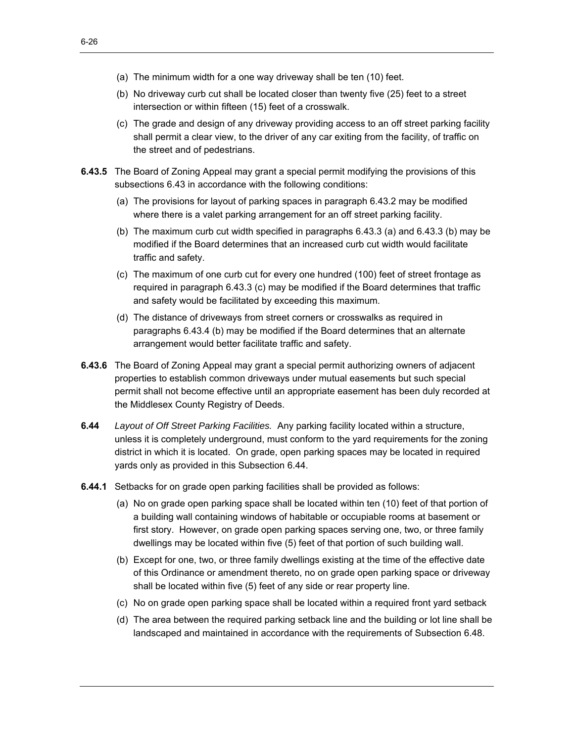- (a) The minimum width for a one way driveway shall be ten (10) feet.
- (b) No driveway curb cut shall be located closer than twenty five (25) feet to a street intersection or within fifteen (15) feet of a crosswalk.
- (c) The grade and design of any driveway providing access to an off street parking facility shall permit a clear view, to the driver of any car exiting from the facility, of traffic on the street and of pedestrians.
- **6.43.5** The Board of Zoning Appeal may grant a special permit modifying the provisions of this subsections 6.43 in accordance with the following conditions:
	- (a) The provisions for layout of parking spaces in paragraph 6.43.2 may be modified where there is a valet parking arrangement for an off street parking facility.
	- (b) The maximum curb cut width specified in paragraphs 6.43.3 (a) and 6.43.3 (b) may be modified if the Board determines that an increased curb cut width would facilitate traffic and safety.
	- (c) The maximum of one curb cut for every one hundred (100) feet of street frontage as required in paragraph 6.43.3 (c) may be modified if the Board determines that traffic and safety would be facilitated by exceeding this maximum.
	- (d) The distance of driveways from street corners or crosswalks as required in paragraphs 6.43.4 (b) may be modified if the Board determines that an alternate arrangement would better facilitate traffic and safety.
- **6.43.6** The Board of Zoning Appeal may grant a special permit authorizing owners of adjacent properties to establish common driveways under mutual easements but such special permit shall not become effective until an appropriate easement has been duly recorded at the Middlesex County Registry of Deeds.
- **6.44** *Layout of Off Street Parking Facilities.* Any parking facility located within a structure, unless it is completely underground, must conform to the yard requirements for the zoning district in which it is located. On grade, open parking spaces may be located in required yards only as provided in this Subsection 6.44.
- **6.44.1** Setbacks for on grade open parking facilities shall be provided as follows:
	- (a) No on grade open parking space shall be located within ten (10) feet of that portion of a building wall containing windows of habitable or occupiable rooms at basement or first story. However, on grade open parking spaces serving one, two, or three family dwellings may be located within five (5) feet of that portion of such building wall.
	- (b) Except for one, two, or three family dwellings existing at the time of the effective date of this Ordinance or amendment thereto, no on grade open parking space or driveway shall be located within five (5) feet of any side or rear property line.
	- (c) No on grade open parking space shall be located within a required front yard setback
	- (d) The area between the required parking setback line and the building or lot line shall be landscaped and maintained in accordance with the requirements of Subsection 6.48.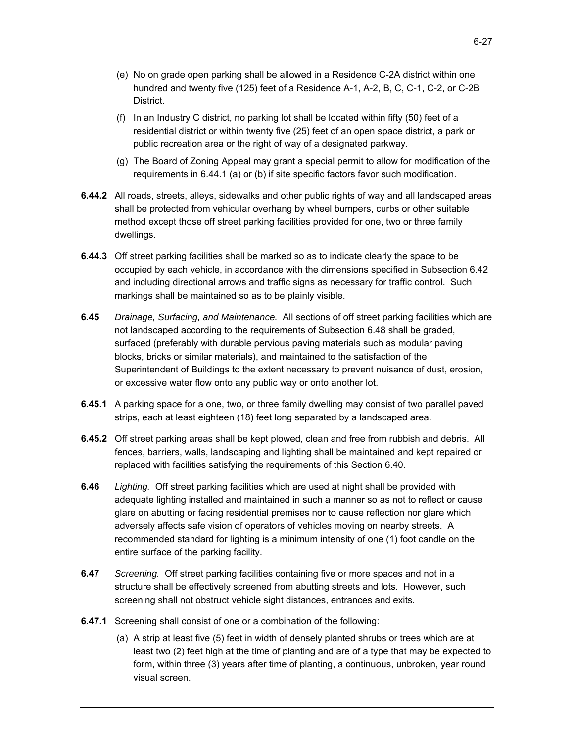- (e) No on grade open parking shall be allowed in a Residence C-2A district within one hundred and twenty five (125) feet of a Residence A-1, A-2, B, C, C-1, C-2, or C-2B District.
- (f) In an Industry C district, no parking lot shall be located within fifty (50) feet of a residential district or within twenty five (25) feet of an open space district, a park or public recreation area or the right of way of a designated parkway.
- (g) The Board of Zoning Appeal may grant a special permit to allow for modification of the requirements in 6.44.1 (a) or (b) if site specific factors favor such modification.
- **6.44.2** All roads, streets, alleys, sidewalks and other public rights of way and all landscaped areas shall be protected from vehicular overhang by wheel bumpers, curbs or other suitable method except those off street parking facilities provided for one, two or three family dwellings.
- **6.44.3** Off street parking facilities shall be marked so as to indicate clearly the space to be occupied by each vehicle, in accordance with the dimensions specified in Subsection 6.42 and including directional arrows and traffic signs as necessary for traffic control. Such markings shall be maintained so as to be plainly visible.
- **6.45** *Drainage, Surfacing, and Maintenance.* All sections of off street parking facilities which are not landscaped according to the requirements of Subsection 6.48 shall be graded, surfaced (preferably with durable pervious paving materials such as modular paving blocks, bricks or similar materials), and maintained to the satisfaction of the Superintendent of Buildings to the extent necessary to prevent nuisance of dust, erosion, or excessive water flow onto any public way or onto another lot.
- **6.45.1** A parking space for a one, two, or three family dwelling may consist of two parallel paved strips, each at least eighteen (18) feet long separated by a landscaped area.
- **6.45.2** Off street parking areas shall be kept plowed, clean and free from rubbish and debris. All fences, barriers, walls, landscaping and lighting shall be maintained and kept repaired or replaced with facilities satisfying the requirements of this Section 6.40.
- **6.46** *Lighting.* Off street parking facilities which are used at night shall be provided with adequate lighting installed and maintained in such a manner so as not to reflect or cause glare on abutting or facing residential premises nor to cause reflection nor glare which adversely affects safe vision of operators of vehicles moving on nearby streets. A recommended standard for lighting is a minimum intensity of one (1) foot candle on the entire surface of the parking facility.
- **6.47** *Screening.* Off street parking facilities containing five or more spaces and not in a structure shall be effectively screened from abutting streets and lots. However, such screening shall not obstruct vehicle sight distances, entrances and exits.
- **6.47.1** Screening shall consist of one or a combination of the following:
	- (a) A strip at least five (5) feet in width of densely planted shrubs or trees which are at least two (2) feet high at the time of planting and are of a type that may be expected to form, within three (3) years after time of planting, a continuous, unbroken, year round visual screen.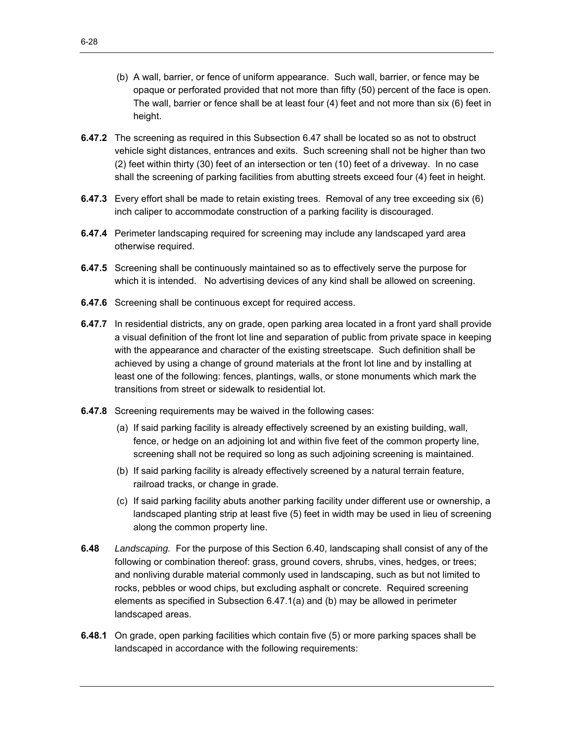- (b) A wall, barrier, or fence of uniform appearance. Such wall, barrier, or fence may be opaque or perforated provided that not more than fifty (50) percent of the face is open. The wall, barrier or fence shall be at least four (4) feet and not more than six (6) feet in height.
- **6.47.2** The screening as required in this Subsection 6.47 shall be located so as not to obstruct vehicle sight distances, entrances and exits. Such screening shall not be higher than two (2) feet within thirty (30) feet of an intersection or ten (10) feet of a driveway. In no case shall the screening of parking facilities from abutting streets exceed four (4) feet in height.
- **6.47.3** Every effort shall be made to retain existing trees. Removal of any tree exceeding six (6) inch caliper to accommodate construction of a parking facility is discouraged.
- **6.47.4** Perimeter landscaping required for screening may include any landscaped yard area otherwise required.
- **6.47.5** Screening shall be continuously maintained so as to effectively serve the purpose for which it is intended. No advertising devices of any kind shall be allowed on screening.
- **6.47.6** Screening shall be continuous except for required access.
- **6.47.7** In residential districts, any on grade, open parking area located in a front yard shall provide a visual definition of the front lot line and separation of public from private space in keeping with the appearance and character of the existing streetscape. Such definition shall be achieved by using a change of ground materials at the front lot line and by installing at least one of the following: fences, plantings, walls, or stone monuments which mark the transitions from street or sidewalk to residential lot.
- **6.47.8** Screening requirements may be waived in the following cases:
	- (a) If said parking facility is already effectively screened by an existing building, wall, fence, or hedge on an adjoining lot and within five feet of the common property line, screening shall not be required so long as such adjoining screening is maintained.
	- (b) If said parking facility is already effectively screened by a natural terrain feature, railroad tracks, or change in grade.
	- (c) If said parking facility abuts another parking facility under different use or ownership, a landscaped planting strip at least five (5) feet in width may be used in lieu of screening along the common property line.
- **6.48** *Landscaping.* For the purpose of this Section 6.40, landscaping shall consist of any of the following or combination thereof: grass, ground covers, shrubs, vines, hedges, or trees; and nonliving durable material commonly used in landscaping, such as but not limited to rocks, pebbles or wood chips, but excluding asphalt or concrete. Required screening elements as specified in Subsection 6.47.1(a) and (b) may be allowed in perimeter landscaped areas.
- **6.48.1** On grade, open parking facilities which contain five (5) or more parking spaces shall be landscaped in accordance with the following requirements: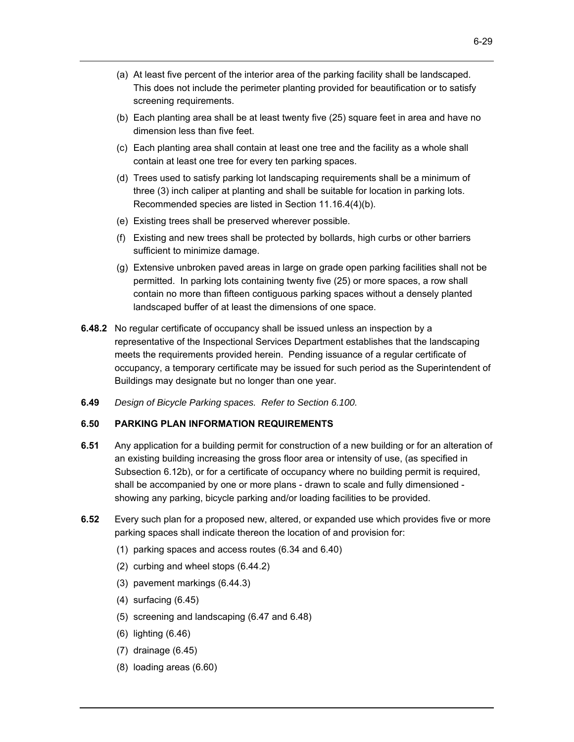- (a) At least five percent of the interior area of the parking facility shall be landscaped. This does not include the perimeter planting provided for beautification or to satisfy screening requirements.
- (b) Each planting area shall be at least twenty five (25) square feet in area and have no dimension less than five feet.
- (c) Each planting area shall contain at least one tree and the facility as a whole shall contain at least one tree for every ten parking spaces.
- (d) Trees used to satisfy parking lot landscaping requirements shall be a minimum of three (3) inch caliper at planting and shall be suitable for location in parking lots. Recommended species are listed in Section 11.16.4(4)(b).
- (e) Existing trees shall be preserved wherever possible.
- (f) Existing and new trees shall be protected by bollards, high curbs or other barriers sufficient to minimize damage.
- (g) Extensive unbroken paved areas in large on grade open parking facilities shall not be permitted. In parking lots containing twenty five (25) or more spaces, a row shall contain no more than fifteen contiguous parking spaces without a densely planted landscaped buffer of at least the dimensions of one space.
- **6.48.2** No regular certificate of occupancy shall be issued unless an inspection by a representative of the Inspectional Services Department establishes that the landscaping meets the requirements provided herein. Pending issuance of a regular certificate of occupancy, a temporary certificate may be issued for such period as the Superintendent of Buildings may designate but no longer than one year.
- **6.49** *Design of Bicycle Parking spaces. Refer to Section 6.100.*

## **6.50 PARKING PLAN INFORMATION REQUIREMENTS**

- **6.51** Any application for a building permit for construction of a new building or for an alteration of an existing building increasing the gross floor area or intensity of use, (as specified in Subsection 6.12b), or for a certificate of occupancy where no building permit is required, shall be accompanied by one or more plans - drawn to scale and fully dimensioned showing any parking, bicycle parking and/or loading facilities to be provided.
- **6.52** Every such plan for a proposed new, altered, or expanded use which provides five or more parking spaces shall indicate thereon the location of and provision for:
	- (1) parking spaces and access routes (6.34 and 6.40)
	- (2) curbing and wheel stops (6.44.2)
	- (3) pavement markings (6.44.3)
	- (4) surfacing (6.45)
	- (5) screening and landscaping (6.47 and 6.48)
	- (6) lighting (6.46)
	- (7) drainage (6.45)
	- (8) loading areas (6.60)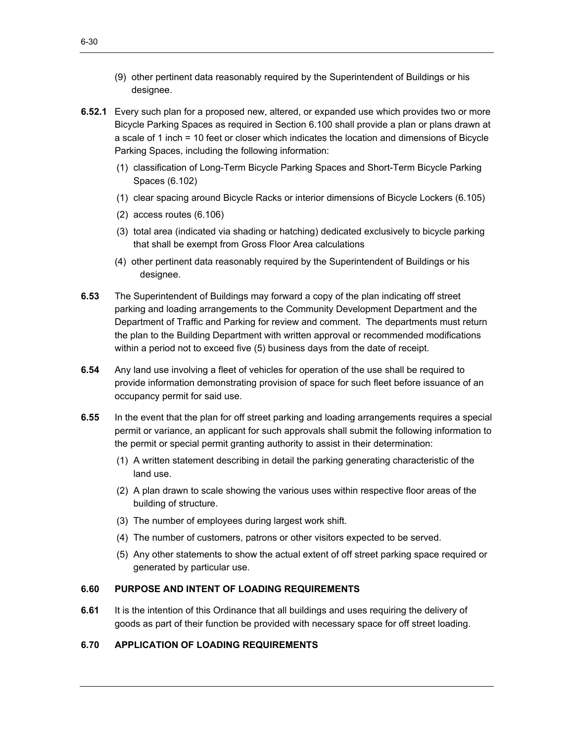- (9) other pertinent data reasonably required by the Superintendent of Buildings or his designee.
- **6.52.1** Every such plan for a proposed new, altered, or expanded use which provides two or more Bicycle Parking Spaces as required in Section 6.100 shall provide a plan or plans drawn at a scale of 1 inch = 10 feet or closer which indicates the location and dimensions of Bicycle Parking Spaces, including the following information:
	- (1) classification of Long-Term Bicycle Parking Spaces and Short-Term Bicycle Parking Spaces (6.102)
	- (1) clear spacing around Bicycle Racks or interior dimensions of Bicycle Lockers (6.105)
	- (2) access routes (6.106)
	- (3) total area (indicated via shading or hatching) dedicated exclusively to bicycle parking that shall be exempt from Gross Floor Area calculations
	- (4) other pertinent data reasonably required by the Superintendent of Buildings or his designee.
- **6.53** The Superintendent of Buildings may forward a copy of the plan indicating off street parking and loading arrangements to the Community Development Department and the Department of Traffic and Parking for review and comment. The departments must return the plan to the Building Department with written approval or recommended modifications within a period not to exceed five (5) business days from the date of receipt.
- **6.54** Any land use involving a fleet of vehicles for operation of the use shall be required to provide information demonstrating provision of space for such fleet before issuance of an occupancy permit for said use.
- **6.55** In the event that the plan for off street parking and loading arrangements requires a special permit or variance, an applicant for such approvals shall submit the following information to the permit or special permit granting authority to assist in their determination:
	- (1) A written statement describing in detail the parking generating characteristic of the land use.
	- (2) A plan drawn to scale showing the various uses within respective floor areas of the building of structure.
	- (3) The number of employees during largest work shift.
	- (4) The number of customers, patrons or other visitors expected to be served.
	- (5) Any other statements to show the actual extent of off street parking space required or generated by particular use.

#### **6.60 PURPOSE AND INTENT OF LOADING REQUIREMENTS**

**6.61** It is the intention of this Ordinance that all buildings and uses requiring the delivery of goods as part of their function be provided with necessary space for off street loading.

## **6.70 APPLICATION OF LOADING REQUIREMENTS**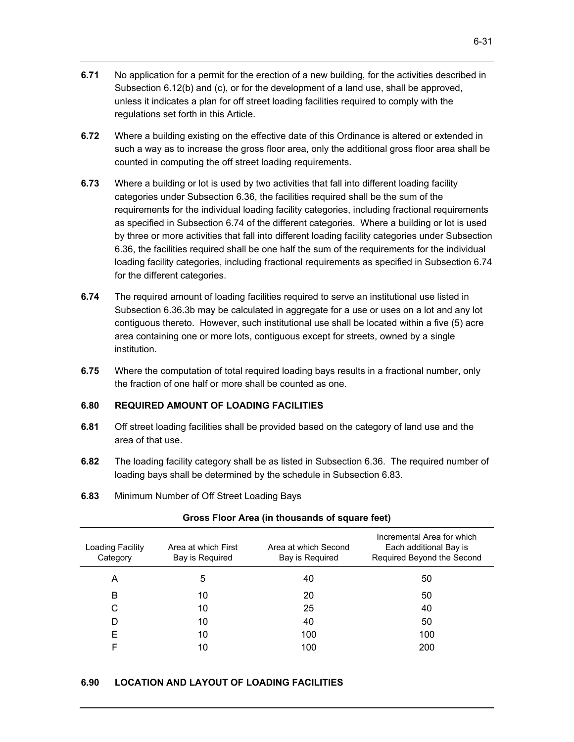- **6.71** No application for a permit for the erection of a new building, for the activities described in Subsection 6.12(b) and (c), or for the development of a land use, shall be approved, unless it indicates a plan for off street loading facilities required to comply with the regulations set forth in this Article.
- **6.72** Where a building existing on the effective date of this Ordinance is altered or extended in such a way as to increase the gross floor area, only the additional gross floor area shall be counted in computing the off street loading requirements.
- **6.73** Where a building or lot is used by two activities that fall into different loading facility categories under Subsection 6.36, the facilities required shall be the sum of the requirements for the individual loading facility categories, including fractional requirements as specified in Subsection 6.74 of the different categories. Where a building or lot is used by three or more activities that fall into different loading facility categories under Subsection 6.36, the facilities required shall be one half the sum of the requirements for the individual loading facility categories, including fractional requirements as specified in Subsection 6.74 for the different categories.
- **6.74** The required amount of loading facilities required to serve an institutional use listed in Subsection 6.36.3b may be calculated in aggregate for a use or uses on a lot and any lot contiguous thereto. However, such institutional use shall be located within a five (5) acre area containing one or more lots, contiguous except for streets, owned by a single institution.
- **6.75** Where the computation of total required loading bays results in a fractional number, only the fraction of one half or more shall be counted as one.

#### **6.80 REQUIRED AMOUNT OF LOADING FACILITIES**

- **6.81** Off street loading facilities shall be provided based on the category of land use and the area of that use.
- **6.82** The loading facility category shall be as listed in Subsection 6.36. The required number of loading bays shall be determined by the schedule in Subsection 6.83.
- **6.83** Minimum Number of Off Street Loading Bays

| Loading Facility<br>Category | Area at which First<br>Bay is Required | Area at which Second<br>Bay is Required | Incremental Area for which<br>Each additional Bay is<br>Required Beyond the Second |
|------------------------------|----------------------------------------|-----------------------------------------|------------------------------------------------------------------------------------|
| A                            | 5                                      | 40                                      | 50                                                                                 |
| B                            | 10                                     | 20                                      | 50                                                                                 |
| С                            | 10                                     | 25                                      | 40                                                                                 |
| D                            | 10                                     | 40                                      | 50                                                                                 |
| E                            | 10                                     | 100                                     | 100                                                                                |
| F                            | 10                                     | 100                                     | 200                                                                                |

#### **Gross Floor Area (in thousands of square feet)**

#### **6.90 LOCATION AND LAYOUT OF LOADING FACILITIES**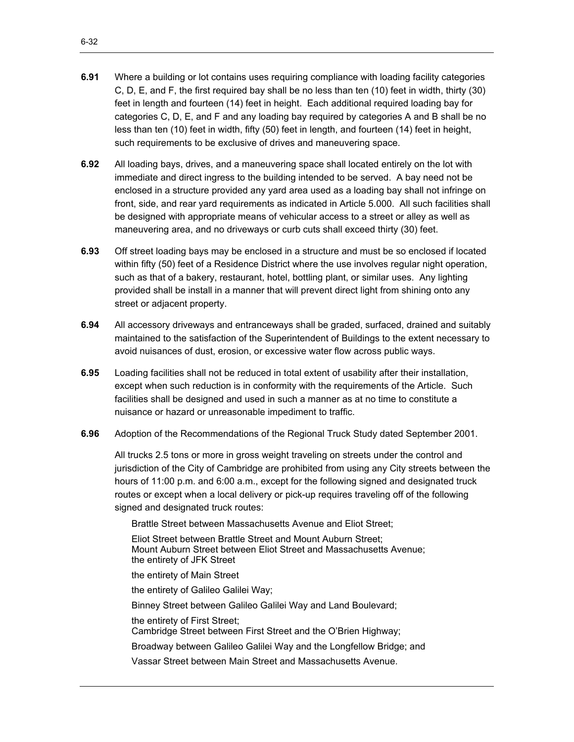- **6.91** Where a building or lot contains uses requiring compliance with loading facility categories C, D, E, and F, the first required bay shall be no less than ten (10) feet in width, thirty (30) feet in length and fourteen (14) feet in height. Each additional required loading bay for categories C, D, E, and F and any loading bay required by categories A and B shall be no less than ten (10) feet in width, fifty (50) feet in length, and fourteen (14) feet in height, such requirements to be exclusive of drives and maneuvering space.
- **6.92** All loading bays, drives, and a maneuvering space shall located entirely on the lot with immediate and direct ingress to the building intended to be served. A bay need not be enclosed in a structure provided any yard area used as a loading bay shall not infringe on front, side, and rear yard requirements as indicated in Article 5.000. All such facilities shall be designed with appropriate means of vehicular access to a street or alley as well as maneuvering area, and no driveways or curb cuts shall exceed thirty (30) feet.
- **6.93** Off street loading bays may be enclosed in a structure and must be so enclosed if located within fifty (50) feet of a Residence District where the use involves regular night operation, such as that of a bakery, restaurant, hotel, bottling plant, or similar uses. Any lighting provided shall be install in a manner that will prevent direct light from shining onto any street or adjacent property.
- **6.94** All accessory driveways and entranceways shall be graded, surfaced, drained and suitably maintained to the satisfaction of the Superintendent of Buildings to the extent necessary to avoid nuisances of dust, erosion, or excessive water flow across public ways.
- **6.95** Loading facilities shall not be reduced in total extent of usability after their installation, except when such reduction is in conformity with the requirements of the Article. Such facilities shall be designed and used in such a manner as at no time to constitute a nuisance or hazard or unreasonable impediment to traffic.
- **6.96** Adoption of the Recommendations of the Regional Truck Study dated September 2001.

All trucks 2.5 tons or more in gross weight traveling on streets under the control and jurisdiction of the City of Cambridge are prohibited from using any City streets between the hours of 11:00 p.m. and 6:00 a.m., except for the following signed and designated truck routes or except when a local delivery or pick-up requires traveling off of the following signed and designated truck routes:

Brattle Street between Massachusetts Avenue and Eliot Street;

Eliot Street between Brattle Street and Mount Auburn Street; Mount Auburn Street between Eliot Street and Massachusetts Avenue; the entirety of JFK Street

the entirety of Main Street

the entirety of Galileo Galilei Way;

Binney Street between Galileo Galilei Way and Land Boulevard;

the entirety of First Street;

Cambridge Street between First Street and the O'Brien Highway;

Broadway between Galileo Galilei Way and the Longfellow Bridge; and

Vassar Street between Main Street and Massachusetts Avenue.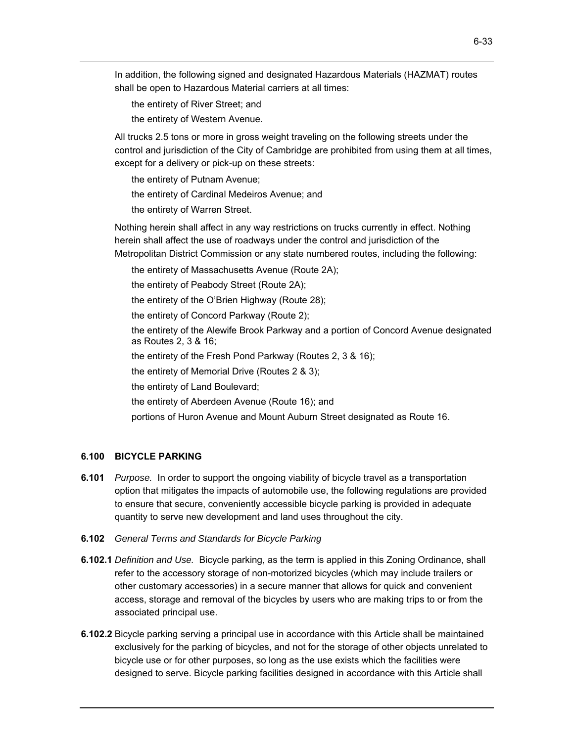In addition, the following signed and designated Hazardous Materials (HAZMAT) routes shall be open to Hazardous Material carriers at all times:

the entirety of River Street; and

the entirety of Western Avenue.

All trucks 2.5 tons or more in gross weight traveling on the following streets under the control and jurisdiction of the City of Cambridge are prohibited from using them at all times, except for a delivery or pick-up on these streets:

the entirety of Putnam Avenue;

the entirety of Cardinal Medeiros Avenue; and

the entirety of Warren Street.

 Nothing herein shall affect in any way restrictions on trucks currently in effect. Nothing herein shall affect the use of roadways under the control and jurisdiction of the Metropolitan District Commission or any state numbered routes, including the following:

the entirety of Massachusetts Avenue (Route 2A); the entirety of Peabody Street (Route 2A); the entirety of the O'Brien Highway (Route 28); the entirety of Concord Parkway (Route 2); the entirety of the Alewife Brook Parkway and a portion of Concord Avenue designated as Routes 2, 3 & 16; the entirety of the Fresh Pond Parkway (Routes 2, 3 & 16); the entirety of Memorial Drive (Routes 2 & 3); the entirety of Land Boulevard; the entirety of Aberdeen Avenue (Route 16); and portions of Huron Avenue and Mount Auburn Street designated as Route 16.

#### **6.100 BICYCLE PARKING**

- **6.101** *Purpose.* In order to support the ongoing viability of bicycle travel as a transportation option that mitigates the impacts of automobile use, the following regulations are provided to ensure that secure, conveniently accessible bicycle parking is provided in adequate quantity to serve new development and land uses throughout the city.
- **6.102** *General Terms and Standards for Bicycle Parking*
- **6.102.1** *Definition and Use.* Bicycle parking, as the term is applied in this Zoning Ordinance, shall refer to the accessory storage of non-motorized bicycles (which may include trailers or other customary accessories) in a secure manner that allows for quick and convenient access, storage and removal of the bicycles by users who are making trips to or from the associated principal use.
- **6.102.2** Bicycle parking serving a principal use in accordance with this Article shall be maintained exclusively for the parking of bicycles, and not for the storage of other objects unrelated to bicycle use or for other purposes, so long as the use exists which the facilities were designed to serve. Bicycle parking facilities designed in accordance with this Article shall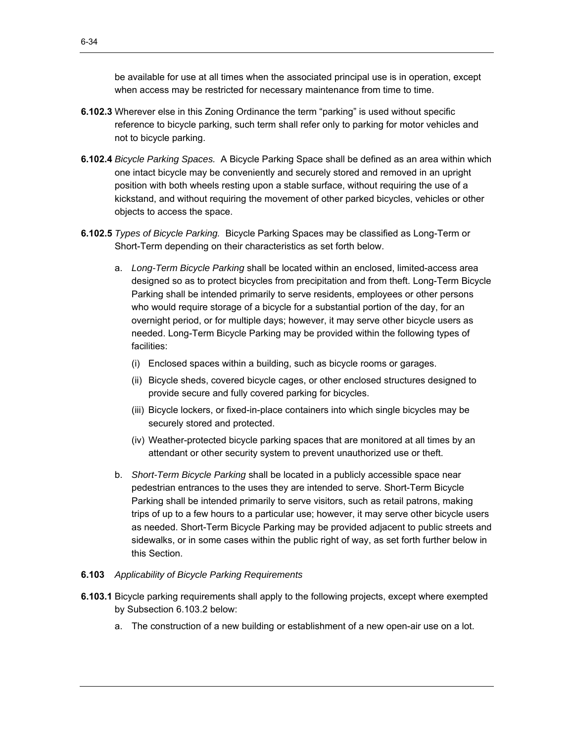be available for use at all times when the associated principal use is in operation, except when access may be restricted for necessary maintenance from time to time.

- **6.102.3** Wherever else in this Zoning Ordinance the term "parking" is used without specific reference to bicycle parking, such term shall refer only to parking for motor vehicles and not to bicycle parking.
- **6.102.4** *Bicycle Parking Spaces.* A Bicycle Parking Space shall be defined as an area within which one intact bicycle may be conveniently and securely stored and removed in an upright position with both wheels resting upon a stable surface, without requiring the use of a kickstand, and without requiring the movement of other parked bicycles, vehicles or other objects to access the space.
- **6.102.5** *Types of Bicycle Parking.* Bicycle Parking Spaces may be classified as Long-Term or Short-Term depending on their characteristics as set forth below.
	- a. *Long-Term Bicycle Parking* shall be located within an enclosed, limited-access area designed so as to protect bicycles from precipitation and from theft. Long-Term Bicycle Parking shall be intended primarily to serve residents, employees or other persons who would require storage of a bicycle for a substantial portion of the day, for an overnight period, or for multiple days; however, it may serve other bicycle users as needed. Long-Term Bicycle Parking may be provided within the following types of facilities:
		- (i) Enclosed spaces within a building, such as bicycle rooms or garages.
		- (ii) Bicycle sheds, covered bicycle cages, or other enclosed structures designed to provide secure and fully covered parking for bicycles.
		- (iii) Bicycle lockers, or fixed-in-place containers into which single bicycles may be securely stored and protected.
		- (iv) Weather-protected bicycle parking spaces that are monitored at all times by an attendant or other security system to prevent unauthorized use or theft.
	- b. *Short-Term Bicycle Parking* shall be located in a publicly accessible space near pedestrian entrances to the uses they are intended to serve. Short-Term Bicycle Parking shall be intended primarily to serve visitors, such as retail patrons, making trips of up to a few hours to a particular use; however, it may serve other bicycle users as needed. Short-Term Bicycle Parking may be provided adjacent to public streets and sidewalks, or in some cases within the public right of way, as set forth further below in this Section.

## **6.103** *Applicability of Bicycle Parking Requirements*

- **6.103.1** Bicycle parking requirements shall apply to the following projects, except where exempted by Subsection 6.103.2 below:
	- a. The construction of a new building or establishment of a new open-air use on a lot.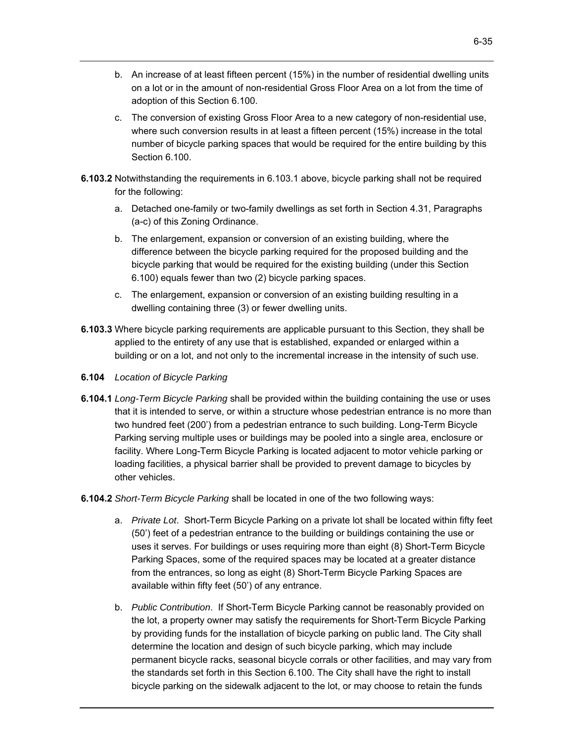- b. An increase of at least fifteen percent (15%) in the number of residential dwelling units on a lot or in the amount of non-residential Gross Floor Area on a lot from the time of adoption of this Section 6.100.
- c. The conversion of existing Gross Floor Area to a new category of non-residential use, where such conversion results in at least a fifteen percent (15%) increase in the total number of bicycle parking spaces that would be required for the entire building by this Section 6.100
- **6.103.2** Notwithstanding the requirements in 6.103.1 above, bicycle parking shall not be required for the following:
	- a. Detached one-family or two-family dwellings as set forth in Section 4.31, Paragraphs (a-c) of this Zoning Ordinance.
	- b. The enlargement, expansion or conversion of an existing building, where the difference between the bicycle parking required for the proposed building and the bicycle parking that would be required for the existing building (under this Section 6.100) equals fewer than two (2) bicycle parking spaces.
	- c. The enlargement, expansion or conversion of an existing building resulting in a dwelling containing three (3) or fewer dwelling units.
- **6.103.3** Where bicycle parking requirements are applicable pursuant to this Section, they shall be applied to the entirety of any use that is established, expanded or enlarged within a building or on a lot, and not only to the incremental increase in the intensity of such use.
- **6.104** *Location of Bicycle Parking*
- **6.104.1** *Long-Term Bicycle Parking* shall be provided within the building containing the use or uses that it is intended to serve, or within a structure whose pedestrian entrance is no more than two hundred feet (200') from a pedestrian entrance to such building. Long-Term Bicycle Parking serving multiple uses or buildings may be pooled into a single area, enclosure or facility. Where Long-Term Bicycle Parking is located adjacent to motor vehicle parking or loading facilities, a physical barrier shall be provided to prevent damage to bicycles by other vehicles.
- **6.104.2** *Short-Term Bicycle Parking* shall be located in one of the two following ways:
	- a. *Private Lot*. Short-Term Bicycle Parking on a private lot shall be located within fifty feet (50') feet of a pedestrian entrance to the building or buildings containing the use or uses it serves. For buildings or uses requiring more than eight (8) Short-Term Bicycle Parking Spaces, some of the required spaces may be located at a greater distance from the entrances, so long as eight (8) Short-Term Bicycle Parking Spaces are available within fifty feet (50') of any entrance.
	- b. *Public Contribution*. If Short-Term Bicycle Parking cannot be reasonably provided on the lot, a property owner may satisfy the requirements for Short-Term Bicycle Parking by providing funds for the installation of bicycle parking on public land. The City shall determine the location and design of such bicycle parking, which may include permanent bicycle racks, seasonal bicycle corrals or other facilities, and may vary from the standards set forth in this Section 6.100. The City shall have the right to install bicycle parking on the sidewalk adjacent to the lot, or may choose to retain the funds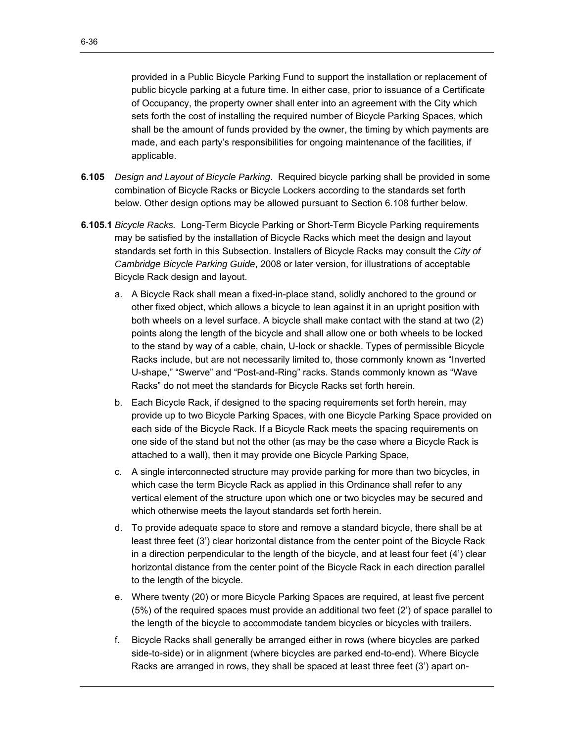provided in a Public Bicycle Parking Fund to support the installation or replacement of public bicycle parking at a future time. In either case, prior to issuance of a Certificate of Occupancy, the property owner shall enter into an agreement with the City which sets forth the cost of installing the required number of Bicycle Parking Spaces, which shall be the amount of funds provided by the owner, the timing by which payments are made, and each party's responsibilities for ongoing maintenance of the facilities, if applicable.

- **6.105** *Design and Layout of Bicycle Parking*. Required bicycle parking shall be provided in some combination of Bicycle Racks or Bicycle Lockers according to the standards set forth below. Other design options may be allowed pursuant to Section 6.108 further below.
- **6.105.1** *Bicycle Racks.* Long-Term Bicycle Parking or Short-Term Bicycle Parking requirements may be satisfied by the installation of Bicycle Racks which meet the design and layout standards set forth in this Subsection. Installers of Bicycle Racks may consult the *City of Cambridge Bicycle Parking Guide*, 2008 or later version, for illustrations of acceptable Bicycle Rack design and layout.
	- a. A Bicycle Rack shall mean a fixed-in-place stand, solidly anchored to the ground or other fixed object, which allows a bicycle to lean against it in an upright position with both wheels on a level surface. A bicycle shall make contact with the stand at two (2) points along the length of the bicycle and shall allow one or both wheels to be locked to the stand by way of a cable, chain, U-lock or shackle. Types of permissible Bicycle Racks include, but are not necessarily limited to, those commonly known as "Inverted U-shape," "Swerve" and "Post-and-Ring" racks. Stands commonly known as "Wave Racks" do not meet the standards for Bicycle Racks set forth herein.
	- one side of the stand but not the other (as may be the case where a Bicycle Rack is b. Each Bicycle Rack, if designed to the spacing requirements set forth herein, may provide up to two Bicycle Parking Spaces, with one Bicycle Parking Space provided on each side of the Bicycle Rack. If a Bicycle Rack meets the spacing requirements on attached to a wall), then it may provide one Bicycle Parking Space,
	- c. A single interconnected structure may provide parking for more than two bicycles, in which case the term Bicycle Rack as applied in this Ordinance shall refer to any vertical element of the structure upon which one or two bicycles may be secured and which otherwise meets the layout standards set forth herein.
	- d. To provide adequate space to store and remove a standard bicycle, there shall be at least three feet (3') clear horizontal distance from the center point of the Bicycle Rack in a direction perpendicular to the length of the bicycle, and at least four feet (4') clear horizontal distance from the center point of the Bicycle Rack in each direction parallel to the length of the bicycle.
	- e. Where twenty (20) or more Bicycle Parking Spaces are required, at least five percent (5%) of the required spaces must provide an additional two feet (2') of space parallel to the length of the bicycle to accommodate tandem bicycles or bicycles with trailers.
	- f. Bicycle Racks shall generally be arranged either in rows (where bicycles are parked side-to-side) or in alignment (where bicycles are parked end-to-end). Where Bicycle Racks are arranged in rows, they shall be spaced at least three feet (3') apart on-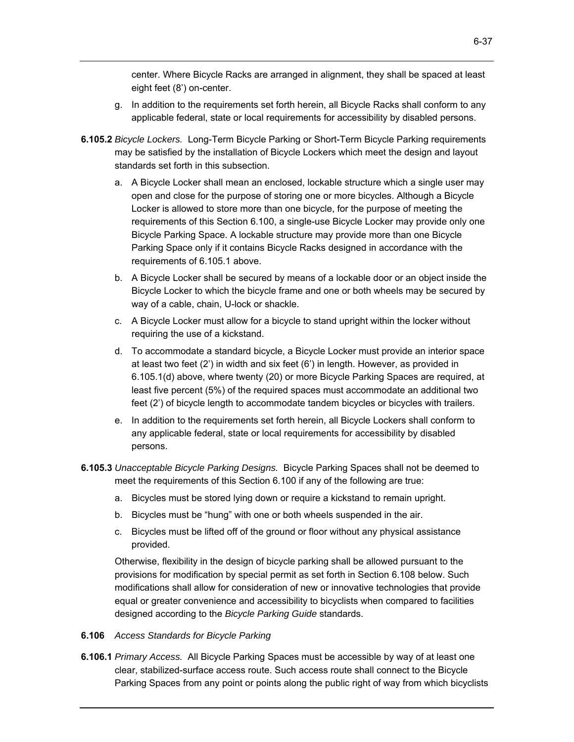center. Where Bicycle Racks are arranged in alignment, they shall be spaced at least eight feet (8') on-center.

- g. In addition to the requirements set forth herein, all Bicycle Racks shall conform to any applicable federal, state or local requirements for accessibility by disabled persons.
- **6.105.2** *Bicycle Lockers.* Long-Term Bicycle Parking or Short-Term Bicycle Parking requirements may be satisfied by the installation of Bicycle Lockers which meet the design and layout standards set forth in this subsection.
	- a. A Bicycle Locker shall mean an enclosed, lockable structure which a single user may open and close for the purpose of storing one or more bicycles. Although a Bicycle Locker is allowed to store more than one bicycle, for the purpose of meeting the requirements of this Section 6.100, a single-use Bicycle Locker may provide only one Bicycle Parking Space. A lockable structure may provide more than one Bicycle Parking Space only if it contains Bicycle Racks designed in accordance with the requirements of 6.105.1 above.
	- b. A Bicycle Locker shall be secured by means of a lockable door or an object inside the Bicycle Locker to which the bicycle frame and one or both wheels may be secured by way of a cable, chain, U-lock or shackle.
	- c. A Bicycle Locker must allow for a bicycle to stand upright within the locker without requiring the use of a kickstand.
	- d. To accommodate a standard bicycle, a Bicycle Locker must provide an interior space at least two feet (2') in width and six feet (6') in length. However, as provided in 6.105.1(d) above, where twenty (20) or more Bicycle Parking Spaces are required, at least five percent (5%) of the required spaces must accommodate an additional two feet (2') of bicycle length to accommodate tandem bicycles or bicycles with trailers.
	- e. In addition to the requirements set forth herein, all Bicycle Lockers shall conform to any applicable federal, state or local requirements for accessibility by disabled persons.
- **6.105.3** *Unacceptable Bicycle Parking Designs.* Bicycle Parking Spaces shall not be deemed to meet the requirements of this Section 6.100 if any of the following are true:
	- a. Bicycles must be stored lying down or require a kickstand to remain upright.
	- b. Bicycles must be "hung" with one or both wheels suspended in the air.
	- c. Bicycles must be lifted off of the ground or floor without any physical assistance provided.

Otherwise, flexibility in the design of bicycle parking shall be allowed pursuant to the provisions for modification by special permit as set forth in Section 6.108 below. Such modifications shall allow for consideration of new or innovative technologies that provide equal or greater convenience and accessibility to bicyclists when compared to facilities designed according to the *Bicycle Parking Guide* standards.

- **6.106** *Access Standards for Bicycle Parking*
- **6.106.1** *Primary Access.* All Bicycle Parking Spaces must be accessible by way of at least one clear, stabilized-surface access route. Such access route shall connect to the Bicycle Parking Spaces from any point or points along the public right of way from which bicyclists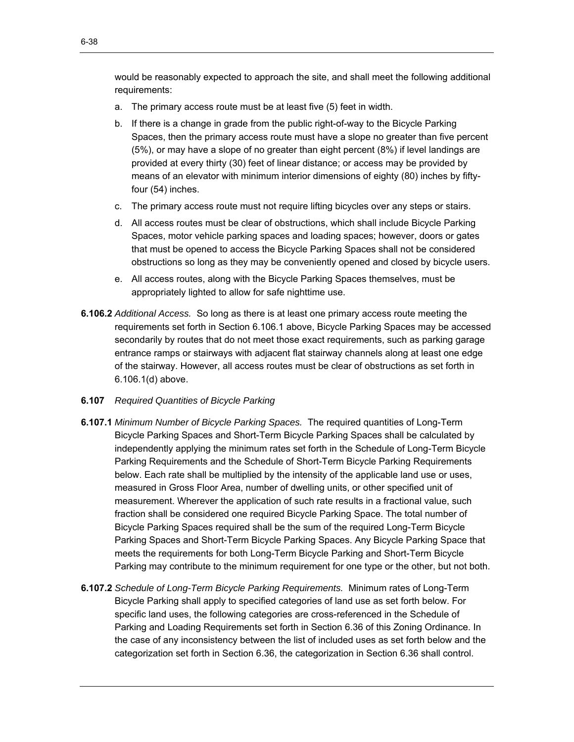would be reasonably expected to approach the site, and shall meet the following additional requirements:

- a. The primary access route must be at least five (5) feet in width.
- b. If there is a change in grade from the public right-of-way to the Bicycle Parking Spaces, then the primary access route must have a slope no greater than five percent (5%), or may have a slope of no greater than eight percent (8%) if level landings are provided at every thirty (30) feet of linear distance; or access may be provided by means of an elevator with minimum interior dimensions of eighty (80) inches by fiftyfour (54) inches.
- c. The primary access route must not require lifting bicycles over any steps or stairs.
- d. All access routes must be clear of obstructions, which shall include Bicycle Parking Spaces, motor vehicle parking spaces and loading spaces; however, doors or gates that must be opened to access the Bicycle Parking Spaces shall not be considered obstructions so long as they may be conveniently opened and closed by bicycle users.
- e. All access routes, along with the Bicycle Parking Spaces themselves, must be appropriately lighted to allow for safe nighttime use.
- **6.106.2** *Additional Access.* So long as there is at least one primary access route meeting the requirements set forth in Section 6.106.1 above, Bicycle Parking Spaces may be accessed secondarily by routes that do not meet those exact requirements, such as parking garage entrance ramps or stairways with adjacent flat stairway channels along at least one edge of the stairway. However, all access routes must be clear of obstructions as set forth in 6.106.1(d) above.
- **6.107** *Required Quantities of Bicycle Parking*
- **6.107.1** *Minimum Number of Bicycle Parking Spaces.* The required quantities of Long-Term Bicycle Parking Spaces and Short-Term Bicycle Parking Spaces shall be calculated by independently applying the minimum rates set forth in the Schedule of Long-Term Bicycle Parking Requirements and the Schedule of Short-Term Bicycle Parking Requirements below. Each rate shall be multiplied by the intensity of the applicable land use or uses, measured in Gross Floor Area, number of dwelling units, or other specified unit of measurement. Wherever the application of such rate results in a fractional value, such fraction shall be considered one required Bicycle Parking Space. The total number of Bicycle Parking Spaces required shall be the sum of the required Long-Term Bicycle Parking Spaces and Short-Term Bicycle Parking Spaces. Any Bicycle Parking Space that meets the requirements for both Long-Term Bicycle Parking and Short-Term Bicycle Parking may contribute to the minimum requirement for one type or the other, but not both.
- **6.107.2** *Schedule of Long-Term Bicycle Parking Requirements.* Minimum rates of Long-Term Bicycle Parking shall apply to specified categories of land use as set forth below. For specific land uses, the following categories are cross-referenced in the Schedule of Parking and Loading Requirements set forth in Section 6.36 of this Zoning Ordinance. In the case of any inconsistency between the list of included uses as set forth below and the categorization set forth in Section 6.36, the categorization in Section 6.36 shall control.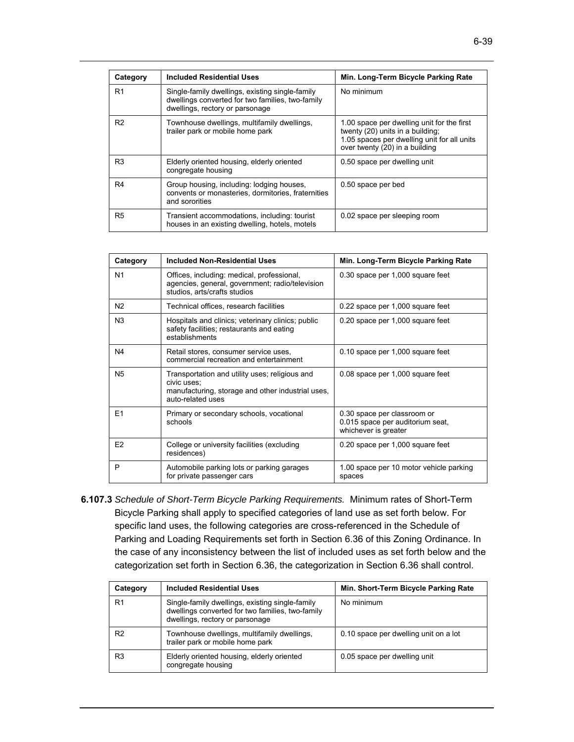| Category       | <b>Included Residential Uses</b>                                                                                                       | Min. Long-Term Bicycle Parking Rate                                                                                                                             |
|----------------|----------------------------------------------------------------------------------------------------------------------------------------|-----------------------------------------------------------------------------------------------------------------------------------------------------------------|
| R <sub>1</sub> | Single-family dwellings, existing single-family<br>dwellings converted for two families, two-family<br>dwellings, rectory or parsonage | No minimum                                                                                                                                                      |
| R <sub>2</sub> | Townhouse dwellings, multifamily dwellings,<br>trailer park or mobile home park                                                        | 1.00 space per dwelling unit for the first<br>twenty (20) units in a building;<br>1.05 spaces per dwelling unit for all units<br>over twenty (20) in a building |
| R <sub>3</sub> | Elderly oriented housing, elderly oriented<br>congregate housing                                                                       | 0.50 space per dwelling unit                                                                                                                                    |
| R <sub>4</sub> | Group housing, including: lodging houses,<br>convents or monasteries, dormitories, fraternities<br>and sororities                      | 0.50 space per bed                                                                                                                                              |
| R <sub>5</sub> | Transient accommodations, including: tourist<br>houses in an existing dwelling, hotels, motels                                         | 0.02 space per sleeping room                                                                                                                                    |

| Category       | <b>Included Non-Residential Uses</b>                                                                                                    | Min. Long-Term Bicycle Parking Rate                                                     |
|----------------|-----------------------------------------------------------------------------------------------------------------------------------------|-----------------------------------------------------------------------------------------|
| N1             | Offices, including: medical, professional,<br>agencies, general, government; radio/television<br>studios, arts/crafts studios           | 0.30 space per 1,000 square feet                                                        |
| N <sub>2</sub> | Technical offices, research facilities                                                                                                  | 0.22 space per 1,000 square feet                                                        |
| N <sub>3</sub> | Hospitals and clinics; veterinary clinics; public<br>safety facilities; restaurants and eating<br>establishments                        | 0.20 space per 1,000 square feet                                                        |
| N4             | Retail stores, consumer service uses,<br>commercial recreation and entertainment                                                        | 0.10 space per 1,000 square feet                                                        |
| N <sub>5</sub> | Transportation and utility uses; religious and<br>civic uses:<br>manufacturing, storage and other industrial uses,<br>auto-related uses | 0.08 space per 1,000 square feet                                                        |
| F <sub>1</sub> | Primary or secondary schools, vocational<br>schools                                                                                     | 0.30 space per classroom or<br>0.015 space per auditorium seat,<br>whichever is greater |
| F <sub>2</sub> | College or university facilities (excluding<br>residences)                                                                              | 0.20 space per 1,000 square feet                                                        |
| P              | Automobile parking lots or parking garages<br>for private passenger cars                                                                | 1.00 space per 10 motor vehicle parking<br>spaces                                       |

**6.107.3** *Schedule of Short-Term Bicycle Parking Requirements.* Minimum rates of Short-Term Bicycle Parking shall apply to specified categories of land use as set forth below. For specific land uses, the following categories are cross-referenced in the Schedule of Parking and Loading Requirements set forth in Section 6.36 of this Zoning Ordinance. In the case of any inconsistency between the list of included uses as set forth below and the categorization set forth in Section 6.36, the categorization in Section 6.36 shall control.

| Category       | <b>Included Residential Uses</b>                                                                                                       | Min. Short-Term Bicycle Parking Rate  |
|----------------|----------------------------------------------------------------------------------------------------------------------------------------|---------------------------------------|
| R <sub>1</sub> | Single-family dwellings, existing single-family<br>dwellings converted for two families, two-family<br>dwellings, rectory or parsonage | No minimum                            |
| R <sub>2</sub> | Townhouse dwellings, multifamily dwellings,<br>trailer park or mobile home park                                                        | 0.10 space per dwelling unit on a lot |
| R <sub>3</sub> | Elderly oriented housing, elderly oriented<br>congregate housing                                                                       | 0.05 space per dwelling unit          |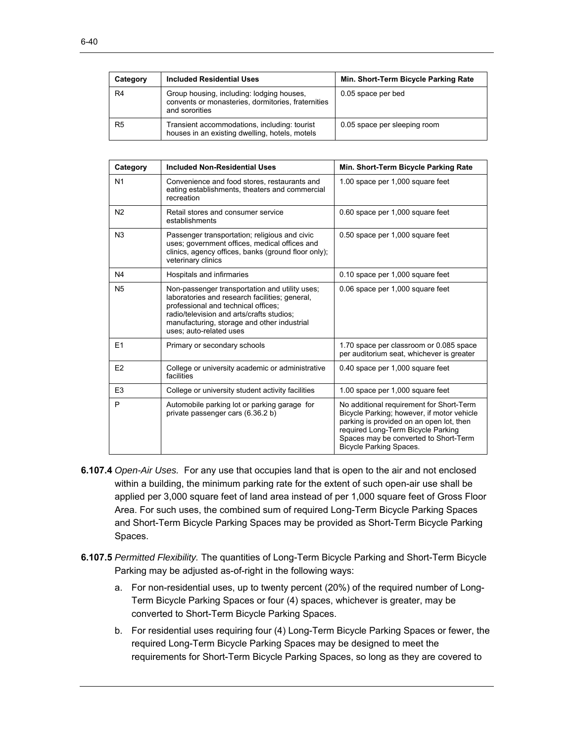| Category | <b>Included Residential Uses</b>                                                                                  | Min. Short-Term Bicycle Parking Rate |
|----------|-------------------------------------------------------------------------------------------------------------------|--------------------------------------|
| R4       | Group housing, including: lodging houses,<br>convents or monasteries, dormitories, fraternities<br>and sororities | 0.05 space per bed                   |
| R5       | Transient accommodations, including: tourist<br>houses in an existing dwelling, hotels, motels                    | 0.05 space per sleeping room         |

| Category       | <b>Included Non-Residential Uses</b>                                                                                                                                                                                                                           | Min. Short-Term Bicycle Parking Rate                                                                                                                                                                                                                |
|----------------|----------------------------------------------------------------------------------------------------------------------------------------------------------------------------------------------------------------------------------------------------------------|-----------------------------------------------------------------------------------------------------------------------------------------------------------------------------------------------------------------------------------------------------|
| N <sub>1</sub> | Convenience and food stores, restaurants and<br>eating establishments, theaters and commercial<br>recreation                                                                                                                                                   | 1.00 space per 1,000 square feet                                                                                                                                                                                                                    |
| N <sub>2</sub> | Retail stores and consumer service<br>establishments                                                                                                                                                                                                           | 0.60 space per 1,000 square feet                                                                                                                                                                                                                    |
| N3             | Passenger transportation; religious and civic<br>uses; government offices, medical offices and<br>clinics, agency offices, banks (ground floor only);<br>veterinary clinics                                                                                    | 0.50 space per 1,000 square feet                                                                                                                                                                                                                    |
| N <sub>4</sub> | Hospitals and infirmaries                                                                                                                                                                                                                                      | 0.10 space per 1,000 square feet                                                                                                                                                                                                                    |
| N <sub>5</sub> | Non-passenger transportation and utility uses;<br>laboratories and research facilities; general,<br>professional and technical offices;<br>radio/television and arts/crafts studios:<br>manufacturing, storage and other industrial<br>uses; auto-related uses | 0.06 space per 1,000 square feet                                                                                                                                                                                                                    |
| E1             | Primary or secondary schools                                                                                                                                                                                                                                   | 1.70 space per classroom or 0.085 space<br>per auditorium seat, whichever is greater                                                                                                                                                                |
| E2             | College or university academic or administrative<br>facilities                                                                                                                                                                                                 | 0.40 space per 1,000 square feet                                                                                                                                                                                                                    |
| E <sub>3</sub> | College or university student activity facilities                                                                                                                                                                                                              | 1.00 space per 1,000 square feet                                                                                                                                                                                                                    |
| P              | Automobile parking lot or parking garage for<br>private passenger cars (6.36.2 b)                                                                                                                                                                              | No additional requirement for Short-Term<br>Bicycle Parking; however, if motor vehicle<br>parking is provided on an open lot, then<br>required Long-Term Bicycle Parking<br>Spaces may be converted to Short-Term<br><b>Bicycle Parking Spaces.</b> |

- **6.107.4** *Open-Air Uses.* For any use that occupies land that is open to the air and not enclosed within a building, the minimum parking rate for the extent of such open-air use shall be applied per 3,000 square feet of land area instead of per 1,000 square feet of Gross Floor Area. For such uses, the combined sum of required Long-Term Bicycle Parking Spaces and Short-Term Bicycle Parking Spaces may be provided as Short-Term Bicycle Parking Spaces.
- **6.107.5** *Permitted Flexibility.* The quantities of Long-Term Bicycle Parking and Short-Term Bicycle Parking may be adjusted as-of-right in the following ways:
	- a. For non-residential uses, up to twenty percent (20%) of the required number of Long-Term Bicycle Parking Spaces or four (4) spaces, whichever is greater, may be converted to Short-Term Bicycle Parking Spaces.
	- b. For residential uses requiring four (4) Long-Term Bicycle Parking Spaces or fewer, the required Long-Term Bicycle Parking Spaces may be designed to meet the requirements for Short-Term Bicycle Parking Spaces, so long as they are covered to